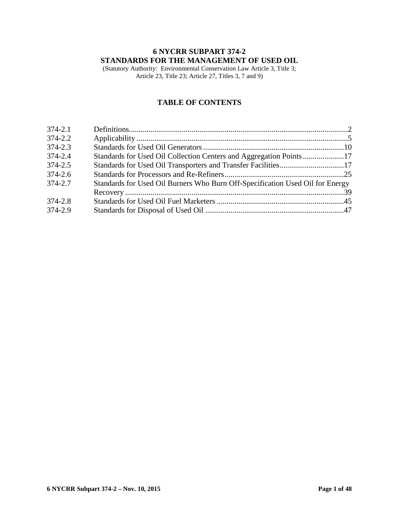# **6 NYCRR SUBPART 374-2 STANDARDS FOR THE MANAGEMENT OF USED OIL**

(Statutory Authority: Environmental Conservation Law Article 3, Title 3; Article 23, Title 23; Article 27, Titles 3, 7 and 9)

# **TABLE OF CONTENTS**

| $374 - 2.1$ |                                                                               |  |
|-------------|-------------------------------------------------------------------------------|--|
| $374 - 2.2$ |                                                                               |  |
| $374 - 2.3$ |                                                                               |  |
| 374-2.4     | Standards for Used Oil Collection Centers and Aggregation Points17            |  |
| $374 - 2.5$ |                                                                               |  |
| $374 - 2.6$ |                                                                               |  |
| 374-2.7     | Standards for Used Oil Burners Who Burn Off-Specification Used Oil for Energy |  |
|             |                                                                               |  |
| 374-2.8     |                                                                               |  |
| 374-2.9     |                                                                               |  |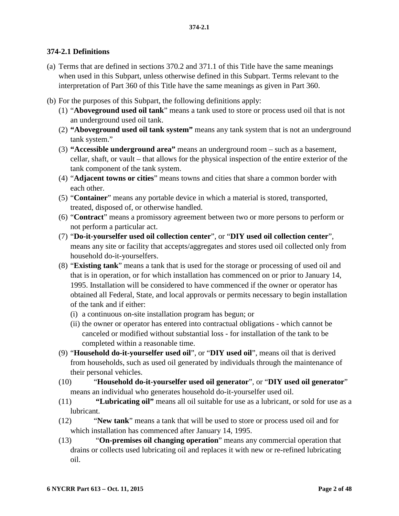## <span id="page-1-0"></span>**374-2.1 Definitions**

- (a) Terms that are defined in sections 370.2 and 371.1 of this Title have the same meanings when used in this Subpart, unless otherwise defined in this Subpart. Terms relevant to the interpretation of Part 360 of this Title have the same meanings as given in Part 360.
- (b) For the purposes of this Subpart, the following definitions apply:
	- (1) "**Aboveground used oil tank**" means a tank used to store or process used oil that is not an underground used oil tank.
	- (2) **"Aboveground used oil tank system"** means any tank system that is not an underground tank system."
	- (3) **"Accessible underground area"** means an underground room such as a basement, cellar, shaft, or vault – that allows for the physical inspection of the entire exterior of the tank component of the tank system.
	- (4) "**Adjacent towns or cities**" means towns and cities that share a common border with each other.
	- (5) "**Container**" means any portable device in which a material is stored, transported, treated, disposed of, or otherwise handled.
	- (6) "**Contract**" means a promissory agreement between two or more persons to perform or not perform a particular act.
	- (7) "**Do-it-yourselfer used oil collection center**", or "**DIY used oil collection center**", means any site or facility that accepts/aggregates and stores used oil collected only from household do-it-yourselfers.
	- (8) "**Existing tank**" means a tank that is used for the storage or processing of used oil and that is in operation, or for which installation has commenced on or prior to January 14, 1995. Installation will be considered to have commenced if the owner or operator has obtained all Federal, State, and local approvals or permits necessary to begin installation of the tank and if either:
		- (i) a continuous on-site installation program has begun; or
		- (ii) the owner or operator has entered into contractual obligations which cannot be canceled or modified without substantial loss - for installation of the tank to be completed within a reasonable time.
	- (9) "**Household do-it-yourselfer used oil**", or "**DIY used oil**", means oil that is derived from households, such as used oil generated by individuals through the maintenance of their personal vehicles.
	- (10) "**Household do-it-yourselfer used oil generator**", or "**DIY used oil generator**" means an individual who generates household do-it-yourselfer used oil.
	- (11) **"Lubricating oil"** means all oil suitable for use as a lubricant, or sold for use as a lubricant.
	- (12) "**New tank**" means a tank that will be used to store or process used oil and for which installation has commenced after January 14, 1995.
	- (13) "**On-premises oil changing operation**" means any commercial operation that drains or collects used lubricating oil and replaces it with new or re-refined lubricating oil.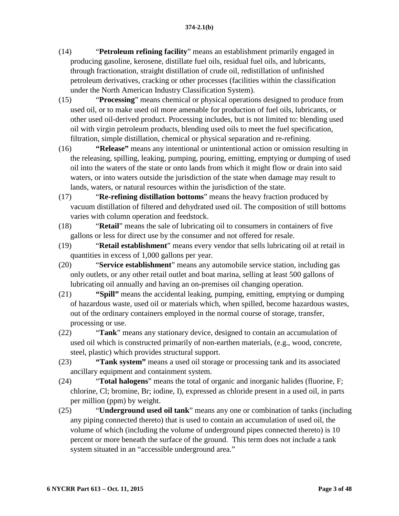- (14) "**Petroleum refining facility**" means an establishment primarily engaged in producing gasoline, kerosene, distillate fuel oils, residual fuel oils, and lubricants, through fractionation, straight distillation of crude oil, redistillation of unfinished petroleum derivatives, cracking or other processes (facilities within the classification under the North American Industry Classification System).
- (15) "**Processing**" means chemical or physical operations designed to produce from used oil, or to make used oil more amenable for production of fuel oils, lubricants, or other used oil-derived product. Processing includes, but is not limited to: blending used oil with virgin petroleum products, blending used oils to meet the fuel specification, filtration, simple distillation, chemical or physical separation and re-refining.
- (16) **"Release"** means any intentional or unintentional action or omission resulting in the releasing, spilling, leaking, pumping, pouring, emitting, emptying or dumping of used oil into the waters of the state or onto lands from which it might flow or drain into said waters, or into waters outside the jurisdiction of the state when damage may result to lands, waters, or natural resources within the jurisdiction of the state.
- (17) "**Re-refining distillation bottoms**" means the heavy fraction produced by vacuum distillation of filtered and dehydrated used oil. The composition of still bottoms varies with column operation and feedstock.
- (18) "**Retail**" means the sale of lubricating oil to consumers in containers of five gallons or less for direct use by the consumer and not offered for resale.
- (19) "**Retail establishment**" means every vendor that sells lubricating oil at retail in quantities in excess of 1,000 gallons per year.
- (20) "**Service establishment**" means any automobile service station, including gas only outlets, or any other retail outlet and boat marina, selling at least 500 gallons of lubricating oil annually and having an on-premises oil changing operation.
- (21) **"Spill"** means the accidental leaking, pumping, emitting, emptying or dumping of hazardous waste, used oil or materials which, when spilled, become hazardous wastes, out of the ordinary containers employed in the normal course of storage, transfer, processing or use.
- (22) "**Tank**" means any stationary device, designed to contain an accumulation of used oil which is constructed primarily of non-earthen materials, (e.g., wood, concrete, steel, plastic) which provides structural support.
- (23) **"Tank system"** means a used oil storage or processing tank and its associated ancillary equipment and containment system.
- (24) "**Total halogens**" means the total of organic and inorganic halides (fluorine, F; chlorine, Cl; bromine, Br; iodine, I), expressed as chloride present in a used oil, in parts per million (ppm) by weight.
- (25) "**Underground used oil tank**" means any one or combination of tanks (including any piping connected thereto) that is used to contain an accumulation of used oil, the volume of which (including the volume of underground pipes connected thereto) is 10 percent or more beneath the surface of the ground. This term does not include a tank system situated in an "accessible underground area."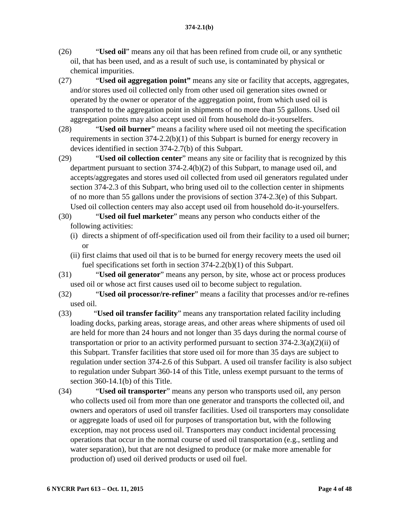- (26) "**Used oil**" means any oil that has been refined from crude oil, or any synthetic oil, that has been used, and as a result of such use, is contaminated by physical or chemical impurities.
- (27) "**Used oil aggregation point"** means any site or facility that accepts, aggregates, and/or stores used oil collected only from other used oil generation sites owned or operated by the owner or operator of the aggregation point, from which used oil is transported to the aggregation point in shipments of no more than 55 gallons. Used oil aggregation points may also accept used oil from household do-it-yourselfers.
- (28) "**Used oil burner**" means a facility where used oil not meeting the specification requirements in section 374-2.2(b)(1) of this Subpart is burned for energy recovery in devices identified in section 374-2.7(b) of this Subpart.
- (29) "**Used oil collection center**" means any site or facility that is recognized by this department pursuant to section 374-2.4(b)(2) of this Subpart, to manage used oil, and accepts/aggregates and stores used oil collected from used oil generators regulated under section 374-2.3 of this Subpart, who bring used oil to the collection center in shipments of no more than 55 gallons under the provisions of section 374-2.3(e) of this Subpart. Used oil collection centers may also accept used oil from household do-it-yourselfers.
- (30) "**Used oil fuel marketer**" means any person who conducts either of the following activities:
	- (i) directs a shipment of off-specification used oil from their facility to a used oil burner; or
	- (ii) first claims that used oil that is to be burned for energy recovery meets the used oil fuel specifications set forth in section 374-2.2(b)(1) of this Subpart.
- (31) "**Used oil generator**" means any person, by site, whose act or process produces used oil or whose act first causes used oil to become subject to regulation.
- (32) "**Used oil processor/re-refiner**" means a facility that processes and/or re-refines used oil.
- (33) "**Used oil transfer facility**" means any transportation related facility including loading docks, parking areas, storage areas, and other areas where shipments of used oil are held for more than 24 hours and not longer than 35 days during the normal course of transportation or prior to an activity performed pursuant to section  $374-2.3(a)(2)(ii)$  of this Subpart. Transfer facilities that store used oil for more than 35 days are subject to regulation under section 374-2.6 of this Subpart. A used oil transfer facility is also subject to regulation under Subpart 360-14 of this Title, unless exempt pursuant to the terms of section 360-14.1(b) of this Title.
- <span id="page-3-0"></span>(34) "**Used oil transporter**" means any person who transports used oil, any person who collects used oil from more than one generator and transports the collected oil, and owners and operators of used oil transfer facilities. Used oil transporters may consolidate or aggregate loads of used oil for purposes of transportation but, with the following exception, may not process used oil. Transporters may conduct incidental processing operations that occur in the normal course of used oil transportation (e.g., settling and water separation), but that are not designed to produce (or make more amenable for production of) used oil derived products or used oil fuel.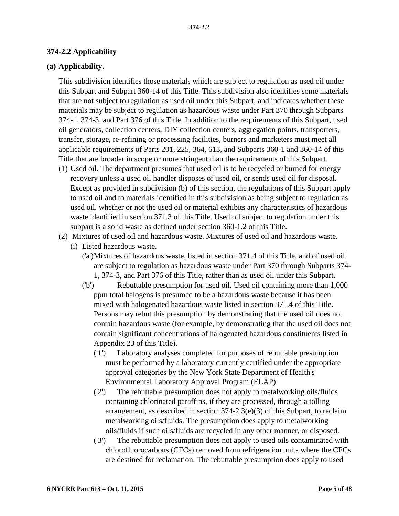#### **374-2.2 Applicability**

#### **(a) Applicability.**

This subdivision identifies those materials which are subject to regulation as used oil under this Subpart and Subpart 360-14 of this Title. This subdivision also identifies some materials that are not subject to regulation as used oil under this Subpart, and indicates whether these materials may be subject to regulation as hazardous waste under Part 370 through Subparts 374-1, 374-3, and Part 376 of this Title. In addition to the requirements of this Subpart, used oil generators, collection centers, DIY collection centers, aggregation points, transporters, transfer, storage, re-refining or processing facilities, burners and marketers must meet all applicable requirements of Parts 201, 225, 364, 613, and Subparts 360-1 and 360-14 of this Title that are broader in scope or more stringent than the requirements of this Subpart.

(1) Used oil. The department presumes that used oil is to be recycled or burned for energy recovery unless a used oil handler disposes of used oil, or sends used oil for disposal. Except as provided in subdivision (b) of this section, the regulations of this Subpart apply to used oil and to materials identified in this subdivision as being subject to regulation as used oil, whether or not the used oil or material exhibits any characteristics of hazardous waste identified in section 371.3 of this Title. Used oil subject to regulation under this subpart is a solid waste as defined under section 360-1.2 of this Title.

(2) Mixtures of used oil and hazardous waste. Mixtures of used oil and hazardous waste.

- (i) Listed hazardous waste.
	- ('a')Mixtures of hazardous waste, listed in section 371.4 of this Title, and of used oil are subject to regulation as hazardous waste under Part 370 through Subparts 374- 1, 374-3, and Part 376 of this Title, rather than as used oil under this Subpart.
	- ('b') Rebuttable presumption for used oil. Used oil containing more than 1,000 ppm total halogens is presumed to be a hazardous waste because it has been mixed with halogenated hazardous waste listed in section 371.4 of this Title. Persons may rebut this presumption by demonstrating that the used oil does not contain hazardous waste (for example, by demonstrating that the used oil does not contain significant concentrations of halogenated hazardous constituents listed in Appendix 23 of this Title).
		- ('1') Laboratory analyses completed for purposes of rebuttable presumption must be performed by a laboratory currently certified under the appropriate approval categories by the New York State Department of Health's Environmental Laboratory Approval Program (ELAP).
		- ('2') The rebuttable presumption does not apply to metalworking oils/fluids containing chlorinated paraffins, if they are processed, through a tolling arrangement, as described in section 374-2.3(e)(3) of this Subpart, to reclaim metalworking oils/fluids. The presumption does apply to metalworking oils/fluids if such oils/fluids are recycled in any other manner, or disposed.
		- ('3') The rebuttable presumption does not apply to used oils contaminated with chlorofluorocarbons (CFCs) removed from refrigeration units where the CFCs are destined for reclamation. The rebuttable presumption does apply to used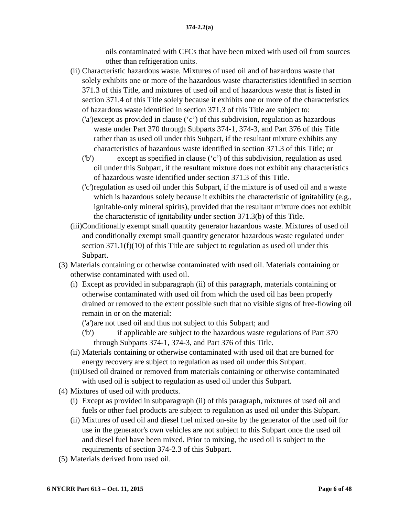oils contaminated with CFCs that have been mixed with used oil from sources other than refrigeration units.

- (ii) Characteristic hazardous waste. Mixtures of used oil and of hazardous waste that solely exhibits one or more of the hazardous waste characteristics identified in section 371.3 of this Title, and mixtures of used oil and of hazardous waste that is listed in section 371.4 of this Title solely because it exhibits one or more of the characteristics of hazardous waste identified in section 371.3 of this Title are subject to:
	- ('a')except as provided in clause ('c') of this subdivision, regulation as hazardous waste under Part 370 through Subparts 374-1, 374-3, and Part 376 of this Title rather than as used oil under this Subpart, if the resultant mixture exhibits any characteristics of hazardous waste identified in section 371.3 of this Title; or
	- ('b') except as specified in clause ('c') of this subdivision, regulation as used oil under this Subpart, if the resultant mixture does not exhibit any characteristics of hazardous waste identified under section 371.3 of this Title.
	- ('c')regulation as used oil under this Subpart, if the mixture is of used oil and a waste which is hazardous solely because it exhibits the characteristic of ignitability (e.g., ignitable-only mineral spirits), provided that the resultant mixture does not exhibit the characteristic of ignitability under section 371.3(b) of this Title.
- (iii)Conditionally exempt small quantity generator hazardous waste. Mixtures of used oil and conditionally exempt small quantity generator hazardous waste regulated under section  $371.1(f)(10)$  of this Title are subject to regulation as used oil under this Subpart.
- (3) Materials containing or otherwise contaminated with used oil. Materials containing or otherwise contaminated with used oil.
	- (i) Except as provided in subparagraph (ii) of this paragraph, materials containing or otherwise contaminated with used oil from which the used oil has been properly drained or removed to the extent possible such that no visible signs of free-flowing oil remain in or on the material:

('a')are not used oil and thus not subject to this Subpart; and

- ('b') if applicable are subject to the hazardous waste regulations of Part 370 through Subparts 374-1, 374-3, and Part 376 of this Title.
- (ii) Materials containing or otherwise contaminated with used oil that are burned for energy recovery are subject to regulation as used oil under this Subpart.
- (iii)Used oil drained or removed from materials containing or otherwise contaminated with used oil is subject to regulation as used oil under this Subpart.
- (4) Mixtures of used oil with products.
	- (i) Except as provided in subparagraph (ii) of this paragraph, mixtures of used oil and fuels or other fuel products are subject to regulation as used oil under this Subpart.
	- (ii) Mixtures of used oil and diesel fuel mixed on-site by the generator of the used oil for use in the generator's own vehicles are not subject to this Subpart once the used oil and diesel fuel have been mixed. Prior to mixing, the used oil is subject to the requirements of section 374-2.3 of this Subpart.
- (5) Materials derived from used oil.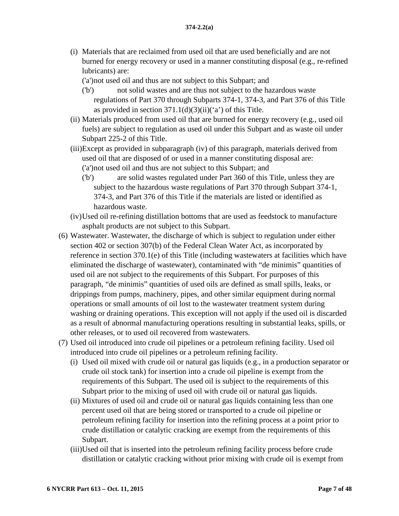- (i) Materials that are reclaimed from used oil that are used beneficially and are not burned for energy recovery or used in a manner constituting disposal (e.g., re-refined lubricants) are:
	- ('a')not used oil and thus are not subject to this Subpart; and
	- ('b') not solid wastes and are thus not subject to the hazardous waste regulations of Part 370 through Subparts 374-1, 374-3, and Part 376 of this Title as provided in section  $371.1(d)(3)(ii)(a')$  of this Title.
- (ii) Materials produced from used oil that are burned for energy recovery (e.g., used oil fuels) are subject to regulation as used oil under this Subpart and as waste oil under Subpart 225-2 of this Title.
- (iii)Except as provided in subparagraph (iv) of this paragraph, materials derived from used oil that are disposed of or used in a manner constituting disposal are: ('a')not used oil and thus are not subject to this Subpart; and
	- ('b') are solid wastes regulated under Part 360 of this Title, unless they are subject to the hazardous waste regulations of Part 370 through Subpart 374-1, 374-3, and Part 376 of this Title if the materials are listed or identified as hazardous waste.
- (iv)Used oil re-refining distillation bottoms that are used as feedstock to manufacture asphalt products are not subject to this Subpart.
- (6) Wastewater. Wastewater, the discharge of which is subject to regulation under either section 402 or section 307(b) of the Federal Clean Water Act, as incorporated by reference in section 370.1(e) of this Title (including wastewaters at facilities which have eliminated the discharge of wastewater), contaminated with "de minimis" quantities of used oil are not subject to the requirements of this Subpart. For purposes of this paragraph, "de minimis" quantities of used oils are defined as small spills, leaks, or drippings from pumps, machinery, pipes, and other similar equipment during normal operations or small amounts of oil lost to the wastewater treatment system during washing or draining operations. This exception will not apply if the used oil is discarded as a result of abnormal manufacturing operations resulting in substantial leaks, spills, or other releases, or to used oil recovered from wastewaters.
- (7) Used oil introduced into crude oil pipelines or a petroleum refining facility. Used oil introduced into crude oil pipelines or a petroleum refining facility.
	- (i) Used oil mixed with crude oil or natural gas liquids (e.g., in a production separator or crude oil stock tank) for insertion into a crude oil pipeline is exempt from the requirements of this Subpart. The used oil is subject to the requirements of this Subpart prior to the mixing of used oil with crude oil or natural gas liquids.
	- (ii) Mixtures of used oil and crude oil or natural gas liquids containing less than one percent used oil that are being stored or transported to a crude oil pipeline or petroleum refining facility for insertion into the refining process at a point prior to crude distillation or catalytic cracking are exempt from the requirements of this Subpart.
	- (iii)Used oil that is inserted into the petroleum refining facility process before crude distillation or catalytic cracking without prior mixing with crude oil is exempt from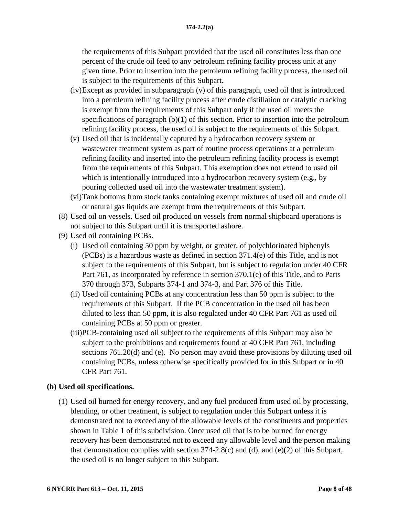the requirements of this Subpart provided that the used oil constitutes less than one percent of the crude oil feed to any petroleum refining facility process unit at any given time. Prior to insertion into the petroleum refining facility process, the used oil is subject to the requirements of this Subpart.

- (iv)Except as provided in subparagraph (v) of this paragraph, used oil that is introduced into a petroleum refining facility process after crude distillation or catalytic cracking is exempt from the requirements of this Subpart only if the used oil meets the specifications of paragraph (b)(1) of this section. Prior to insertion into the petroleum refining facility process, the used oil is subject to the requirements of this Subpart.
- (v) Used oil that is incidentally captured by a hydrocarbon recovery system or wastewater treatment system as part of routine process operations at a petroleum refining facility and inserted into the petroleum refining facility process is exempt from the requirements of this Subpart. This exemption does not extend to used oil which is intentionally introduced into a hydrocarbon recovery system (e.g., by pouring collected used oil into the wastewater treatment system).
- (vi)Tank bottoms from stock tanks containing exempt mixtures of used oil and crude oil or natural gas liquids are exempt from the requirements of this Subpart.
- (8) Used oil on vessels. Used oil produced on vessels from normal shipboard operations is not subject to this Subpart until it is transported ashore.
- (9) Used oil containing PCBs.
	- (i) Used oil containing 50 ppm by weight, or greater, of polychlorinated biphenyls (PCBs) is a hazardous waste as defined in section 371.4(e) of this Title, and is not subject to the requirements of this Subpart, but is subject to regulation under 40 CFR Part 761, as incorporated by reference in section 370.1(e) of this Title, and to Parts 370 through 373, Subparts 374-1 and 374-3, and Part 376 of this Title.
	- (ii) Used oil containing PCBs at any concentration less than 50 ppm is subject to the requirements of this Subpart. If the PCB concentration in the used oil has been diluted to less than 50 ppm, it is also regulated under 40 CFR Part 761 as used oil containing PCBs at 50 ppm or greater.
	- (iii)PCB-containing used oil subject to the requirements of this Subpart may also be subject to the prohibitions and requirements found at 40 CFR Part 761, including sections 761.20(d) and (e). No person may avoid these provisions by diluting used oil containing PCBs, unless otherwise specifically provided for in this Subpart or in 40 CFR Part 761.

#### **(b) Used oil specifications.**

(1) Used oil burned for energy recovery, and any fuel produced from used oil by processing, blending, or other treatment, is subject to regulation under this Subpart unless it is demonstrated not to exceed any of the allowable levels of the constituents and properties shown in Table 1 of this subdivision. Once used oil that is to be burned for energy recovery has been demonstrated not to exceed any allowable level and the person making that demonstration complies with section 374-2.8(c) and (d), and (e)(2) of this Subpart, the used oil is no longer subject to this Subpart.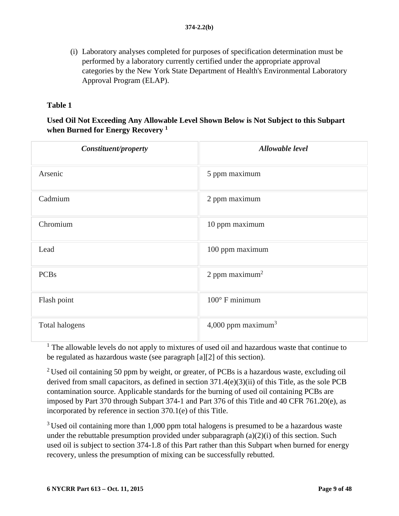(i) Laboratory analyses completed for purposes of specification determination must be performed by a laboratory currently certified under the appropriate approval categories by the New York State Department of Health's Environmental Laboratory Approval Program (ELAP).

## **Table 1**

# **Used Oil Not Exceeding Any Allowable Level Shown Below is Not Subject to this Subpart when Burned for Energy Recovery 1**

| Constituent/property | <b>Allowable level</b>           |
|----------------------|----------------------------------|
| Arsenic              | 5 ppm maximum                    |
| Cadmium              | 2 ppm maximum                    |
| Chromium             | 10 ppm maximum                   |
| Lead                 | 100 ppm maximum                  |
| <b>PCBs</b>          | 2 ppm maximum <sup>2</sup>       |
| Flash point          | $100^{\circ}$ F minimum          |
| Total halogens       | $4,000$ ppm maximum <sup>3</sup> |

<sup>1</sup> The allowable levels do not apply to mixtures of used oil and hazardous waste that continue to be regulated as hazardous waste (see paragraph [a][2] of this section).

<sup>2</sup> Used oil containing 50 ppm by weight, or greater, of PCBs is a hazardous waste, excluding oil derived from small capacitors, as defined in section 371.4(e)(3)(ii) of this Title, as the sole PCB contamination source. Applicable standards for the burning of used oil containing PCBs are imposed by Part 370 through Subpart 374-1 and Part 376 of this Title and 40 CFR 761.20(e), as incorporated by reference in section 370.1(e) of this Title.

<sup>3</sup> Used oil containing more than 1,000 ppm total halogens is presumed to be a hazardous waste under the rebuttable presumption provided under subparagraph  $(a)(2)(i)$  of this section. Such used oil is subject to section 374-1.8 of this Part rather than this Subpart when burned for energy recovery, unless the presumption of mixing can be successfully rebutted.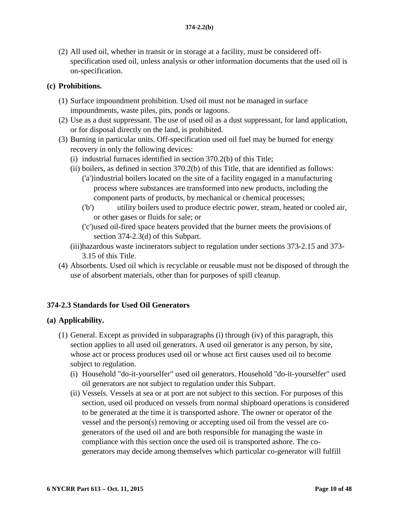(2) All used oil, whether in transit or in storage at a facility, must be considered offspecification used oil, unless analysis or other information documents that the used oil is on-specification.

### **(c) Prohibitions.**

- (1) Surface impoundment prohibition. Used oil must not be managed in surface impoundments, waste piles, pits, ponds or lagoons.
- (2) Use as a dust suppressant. The use of used oil as a dust suppressant, for land application, or for disposal directly on the land, is prohibited.
- (3) Burning in particular units. Off-specification used oil fuel may be burned for energy recovery in only the following devices:
	- (i) industrial furnaces identified in section 370.2(b) of this Title;
	- (ii) boilers, as defined in section 370.2(b) of this Title, that are identified as follows:
		- ('a')industrial boilers located on the site of a facility engaged in a manufacturing process where substances are transformed into new products, including the component parts of products, by mechanical or chemical processes;
		- ('b') utility boilers used to produce electric power, steam, heated or cooled air, or other gases or fluids for sale; or
		- ('c')used oil-fired space heaters provided that the burner meets the provisions of section 374-2.3(d) of this Subpart.
	- (iii)hazardous waste incinerators subject to regulation under sections 373-2.15 and 373- 3.15 of this Title.
- (4) Absorbents. Used oil which is recyclable or reusable must not be disposed of through the use of absorbent materials, other than for purposes of spill cleanup.

## <span id="page-9-0"></span>**374-2.3 Standards for Used Oil Generators**

## **(a) Applicability.**

- (1) General. Except as provided in subparagraphs (i) through (iv) of this paragraph, this section applies to all used oil generators. A used oil generator is any person, by site, whose act or process produces used oil or whose act first causes used oil to become subject to regulation.
	- (i) Household "do-it-yourselfer" used oil generators. Household "do-it-yourselfer" used oil generators are not subject to regulation under this Subpart.
	- (ii) Vessels. Vessels at sea or at port are not subject to this section. For purposes of this section, used oil produced on vessels from normal shipboard operations is considered to be generated at the time it is transported ashore. The owner or operator of the vessel and the person(s) removing or accepting used oil from the vessel are cogenerators of the used oil and are both responsible for managing the waste in compliance with this section once the used oil is transported ashore. The cogenerators may decide among themselves which particular co-generator will fulfill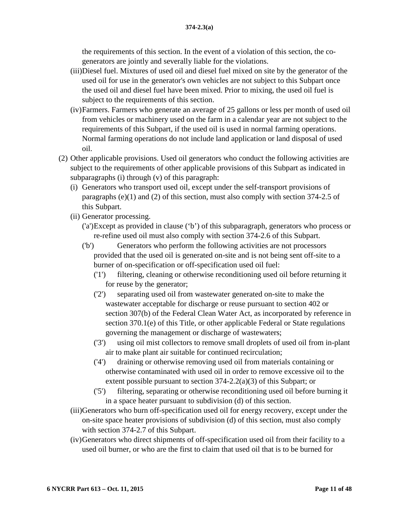the requirements of this section. In the event of a violation of this section, the cogenerators are jointly and severally liable for the violations.

- (iii)Diesel fuel. Mixtures of used oil and diesel fuel mixed on site by the generator of the used oil for use in the generator's own vehicles are not subject to this Subpart once the used oil and diesel fuel have been mixed. Prior to mixing, the used oil fuel is subject to the requirements of this section.
- (iv)Farmers. Farmers who generate an average of 25 gallons or less per month of used oil from vehicles or machinery used on the farm in a calendar year are not subject to the requirements of this Subpart, if the used oil is used in normal farming operations. Normal farming operations do not include land application or land disposal of used oil.
- (2) Other applicable provisions. Used oil generators who conduct the following activities are subject to the requirements of other applicable provisions of this Subpart as indicated in subparagraphs (i) through (v) of this paragraph:
	- (i) Generators who transport used oil, except under the self-transport provisions of paragraphs (e)(1) and (2) of this section, must also comply with section 374-2.5 of this Subpart.
	- (ii) Generator processing.
		- ('a')Except as provided in clause ('b') of this subparagraph, generators who process or re-refine used oil must also comply with section 374-2.6 of this Subpart.
		- ('b') Generators who perform the following activities are not processors provided that the used oil is generated on-site and is not being sent off-site to a burner of on-specification or off-specification used oil fuel:
			- ('1') filtering, cleaning or otherwise reconditioning used oil before returning it for reuse by the generator;
			- ('2') separating used oil from wastewater generated on-site to make the wastewater acceptable for discharge or reuse pursuant to section 402 or section 307(b) of the Federal Clean Water Act, as incorporated by reference in section 370.1(e) of this Title, or other applicable Federal or State regulations governing the management or discharge of wastewaters;
			- ('3') using oil mist collectors to remove small droplets of used oil from in-plant air to make plant air suitable for continued recirculation;
			- ('4') draining or otherwise removing used oil from materials containing or otherwise contaminated with used oil in order to remove excessive oil to the extent possible pursuant to section 374-2.2(a)(3) of this Subpart; or
			- ('5') filtering, separating or otherwise reconditioning used oil before burning it in a space heater pursuant to subdivision (d) of this section.
	- (iii)Generators who burn off-specification used oil for energy recovery, except under the on-site space heater provisions of subdivision (d) of this section, must also comply with section 374-2.7 of this Subpart.
	- (iv)Generators who direct shipments of off-specification used oil from their facility to a used oil burner, or who are the first to claim that used oil that is to be burned for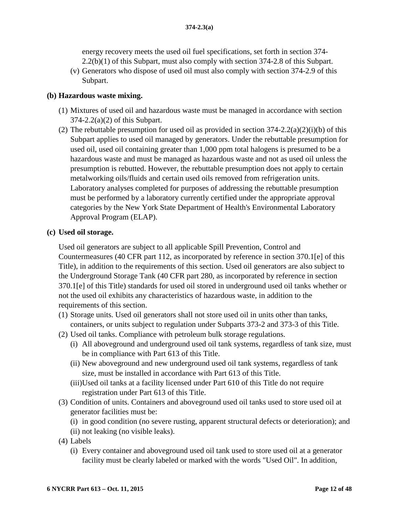energy recovery meets the used oil fuel specifications, set forth in section 374- 2.2(b)(1) of this Subpart, must also comply with section 374-2.8 of this Subpart.

(v) Generators who dispose of used oil must also comply with section 374-2.9 of this Subpart.

#### **(b) Hazardous waste mixing.**

- (1) Mixtures of used oil and hazardous waste must be managed in accordance with section 374-2.2(a)(2) of this Subpart.
- (2) The rebuttable presumption for used oil as provided in section  $374-2.2(a)(2)(i)(b)$  of this Subpart applies to used oil managed by generators. Under the rebuttable presumption for used oil, used oil containing greater than 1,000 ppm total halogens is presumed to be a hazardous waste and must be managed as hazardous waste and not as used oil unless the presumption is rebutted. However, the rebuttable presumption does not apply to certain metalworking oils/fluids and certain used oils removed from refrigeration units. Laboratory analyses completed for purposes of addressing the rebuttable presumption must be performed by a laboratory currently certified under the appropriate approval categories by the New York State Department of Health's Environmental Laboratory Approval Program (ELAP).

#### **(c) Used oil storage.**

Used oil generators are subject to all applicable Spill Prevention, Control and Countermeasures (40 CFR part 112, as incorporated by reference in section 370.1[e] of this Title), in addition to the requirements of this section. Used oil generators are also subject to the Underground Storage Tank (40 CFR part 280, as incorporated by reference in section 370.1[e] of this Title) standards for used oil stored in underground used oil tanks whether or not the used oil exhibits any characteristics of hazardous waste, in addition to the requirements of this section.

- (1) Storage units. Used oil generators shall not store used oil in units other than tanks, containers, or units subject to regulation under Subparts 373-2 and 373-3 of this Title.
- (2) Used oil tanks. Compliance with petroleum bulk storage regulations.
	- (i) All aboveground and underground used oil tank systems, regardless of tank size, must be in compliance with Part 613 of this Title.
	- (ii) New aboveground and new underground used oil tank systems, regardless of tank size, must be installed in accordance with Part 613 of this Title.
	- (iii)Used oil tanks at a facility licensed under Part 610 of this Title do not require registration under Part 613 of this Title.
- (3) Condition of units. Containers and aboveground used oil tanks used to store used oil at generator facilities must be:
	- (i) in good condition (no severe rusting, apparent structural defects or deterioration); and
	- (ii) not leaking (no visible leaks).
- (4) Labels
	- (i) Every container and aboveground used oil tank used to store used oil at a generator facility must be clearly labeled or marked with the words "Used Oil". In addition,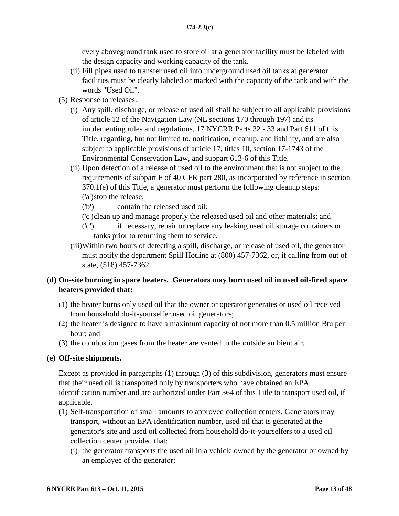every aboveground tank used to store oil at a generator facility must be labeled with the design capacity and working capacity of the tank.

- (ii) Fill pipes used to transfer used oil into underground used oil tanks at generator facilities must be clearly labeled or marked with the capacity of the tank and with the words "Used Oil".
- (5) Response to releases.
	- (i) Any spill, discharge, or release of used oil shall be subject to all applicable provisions of article 12 of the Navigation Law (NL sections 170 through 197) and its implementing rules and regulations, 17 NYCRR Parts 32 - 33 and Part 611 of this Title, regarding, but not limited to, notification, cleanup, and liability, and are also subject to applicable provisions of article 17, titles 10, section 17-1743 of the Environmental Conservation Law, and subpart 613-6 of this Title.
	- (ii) Upon detection of a release of used oil to the environment that is not subject to the requirements of subpart F of 40 CFR part 280, as incorporated by reference in section 370.1(e) of this Title, a generator must perform the following cleanup steps: ('a')stop the release;
		- ('b') contain the released used oil;
		- ('c')clean up and manage properly the released used oil and other materials; and
		- ('d') if necessary, repair or replace any leaking used oil storage containers or tanks prior to returning them to service.
	- (iii)Within two hours of detecting a spill, discharge, or release of used oil, the generator must notify the department Spill Hotline at (800) 457-7362, or, if calling from out of state, (518) 457-7362.

# **(d) On-site burning in space heaters. Generators may burn used oil in used oil-fired space heaters provided that:**

- (1) the heater burns only used oil that the owner or operator generates or used oil received from household do-it-yourselfer used oil generators;
- (2) the heater is designed to have a maximum capacity of not more than 0.5 million Btu per hour; and
- (3) the combustion gases from the heater are vented to the outside ambient air.

#### **(e) Off-site shipments.**

Except as provided in paragraphs (1) through (3) of this subdivision, generators must ensure that their used oil is transported only by transporters who have obtained an EPA identification number and are authorized under Part 364 of this Title to transport used oil, if applicable.

- (1) Self-transportation of small amounts to approved collection centers. Generators may transport, without an EPA identification number, used oil that is generated at the generator's site and used oil collected from household do-it-yourselfers to a used oil collection center provided that:
	- (i) the generator transports the used oil in a vehicle owned by the generator or owned by an employee of the generator;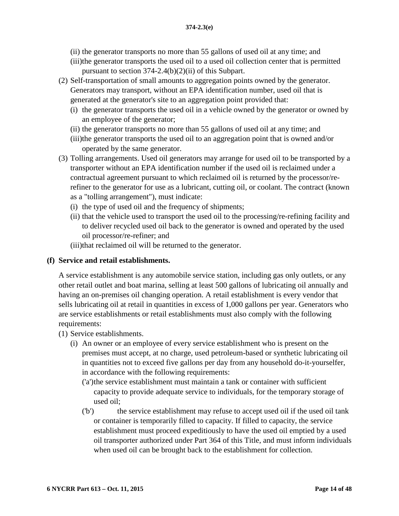- (ii) the generator transports no more than 55 gallons of used oil at any time; and
- (iii)the generator transports the used oil to a used oil collection center that is permitted pursuant to section  $374-2.4(b)(2)(ii)$  of this Subpart.
- (2) Self-transportation of small amounts to aggregation points owned by the generator. Generators may transport, without an EPA identification number, used oil that is generated at the generator's site to an aggregation point provided that:
	- (i) the generator transports the used oil in a vehicle owned by the generator or owned by an employee of the generator;
	- (ii) the generator transports no more than 55 gallons of used oil at any time; and
	- (iii)the generator transports the used oil to an aggregation point that is owned and/or operated by the same generator.
- (3) Tolling arrangements. Used oil generators may arrange for used oil to be transported by a transporter without an EPA identification number if the used oil is reclaimed under a contractual agreement pursuant to which reclaimed oil is returned by the processor/rerefiner to the generator for use as a lubricant, cutting oil, or coolant. The contract (known as a "tolling arrangement"), must indicate:
	- (i) the type of used oil and the frequency of shipments;
	- (ii) that the vehicle used to transport the used oil to the processing/re-refining facility and to deliver recycled used oil back to the generator is owned and operated by the used oil processor/re-refiner; and
	- (iii)that reclaimed oil will be returned to the generator.

#### **(f) Service and retail establishments.**

A service establishment is any automobile service station, including gas only outlets, or any other retail outlet and boat marina, selling at least 500 gallons of lubricating oil annually and having an on-premises oil changing operation. A retail establishment is every vendor that sells lubricating oil at retail in quantities in excess of 1,000 gallons per year. Generators who are service establishments or retail establishments must also comply with the following requirements:

- (1) Service establishments.
	- (i) An owner or an employee of every service establishment who is present on the premises must accept, at no charge, used petroleum-based or synthetic lubricating oil in quantities not to exceed five gallons per day from any household do-it-yourselfer, in accordance with the following requirements:
		- ('a')the service establishment must maintain a tank or container with sufficient capacity to provide adequate service to individuals, for the temporary storage of used oil;
		- ('b') the service establishment may refuse to accept used oil if the used oil tank or container is temporarily filled to capacity. If filled to capacity, the service establishment must proceed expeditiously to have the used oil emptied by a used oil transporter authorized under Part 364 of this Title, and must inform individuals when used oil can be brought back to the establishment for collection.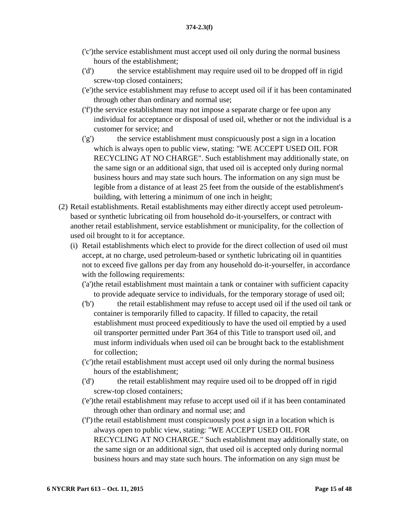- ('c')the service establishment must accept used oil only during the normal business hours of the establishment;
- ('d') the service establishment may require used oil to be dropped off in rigid screw-top closed containers;
- ('e')the service establishment may refuse to accept used oil if it has been contaminated through other than ordinary and normal use;
- ('f') the service establishment may not impose a separate charge or fee upon any individual for acceptance or disposal of used oil, whether or not the individual is a customer for service; and
- ('g') the service establishment must conspicuously post a sign in a location which is always open to public view, stating: "WE ACCEPT USED OIL FOR RECYCLING AT NO CHARGE". Such establishment may additionally state, on the same sign or an additional sign, that used oil is accepted only during normal business hours and may state such hours. The information on any sign must be legible from a distance of at least 25 feet from the outside of the establishment's building, with lettering a minimum of one inch in height;
- (2) Retail establishments. Retail establishments may either directly accept used petroleumbased or synthetic lubricating oil from household do-it-yourselfers, or contract with another retail establishment, service establishment or municipality, for the collection of used oil brought to it for acceptance.
	- (i) Retail establishments which elect to provide for the direct collection of used oil must accept, at no charge, used petroleum-based or synthetic lubricating oil in quantities not to exceed five gallons per day from any household do-it-yourselfer, in accordance with the following requirements:

('a')the retail establishment must maintain a tank or container with sufficient capacity to provide adequate service to individuals, for the temporary storage of used oil;

- ('b') the retail establishment may refuse to accept used oil if the used oil tank or container is temporarily filled to capacity. If filled to capacity, the retail establishment must proceed expeditiously to have the used oil emptied by a used oil transporter permitted under Part 364 of this Title to transport used oil, and must inform individuals when used oil can be brought back to the establishment for collection;
- ('c')the retail establishment must accept used oil only during the normal business hours of the establishment;
- ('d') the retail establishment may require used oil to be dropped off in rigid screw-top closed containers;
- ('e')the retail establishment may refuse to accept used oil if it has been contaminated through other than ordinary and normal use; and
- $('f')$  the retail establishment must conspicuously post a sign in a location which is always open to public view, stating: "WE ACCEPT USED OIL FOR RECYCLING AT NO CHARGE." Such establishment may additionally state, on the same sign or an additional sign, that used oil is accepted only during normal business hours and may state such hours. The information on any sign must be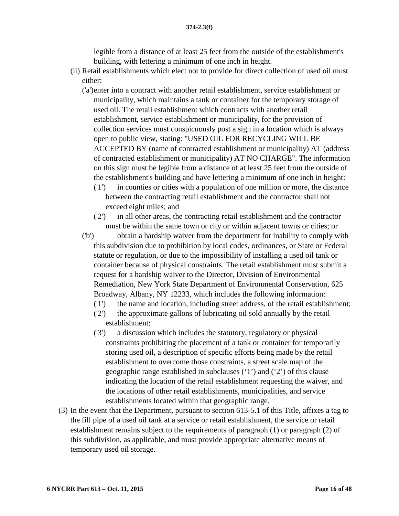legible from a distance of at least 25 feet from the outside of the establishment's building, with lettering a minimum of one inch in height.

- (ii) Retail establishments which elect not to provide for direct collection of used oil must either:
	- ('a')enter into a contract with another retail establishment, service establishment or municipality, which maintains a tank or container for the temporary storage of used oil. The retail establishment which contracts with another retail establishment, service establishment or municipality, for the provision of collection services must conspicuously post a sign in a location which is always open to public view, stating: "USED OIL FOR RECYCLING WILL BE ACCEPTED BY (name of contracted establishment or municipality) AT (address of contracted establishment or municipality) AT NO CHARGE". The information on this sign must be legible from a distance of at least 25 feet from the outside of the establishment's building and have lettering a minimum of one inch in height:
		- ('1') in counties or cities with a population of one million or more, the distance between the contracting retail establishment and the contractor shall not exceed eight miles; and
		- ('2') in all other areas, the contracting retail establishment and the contractor must be within the same town or city or within adjacent towns or cities; or
	- ('b') obtain a hardship waiver from the department for inability to comply with this subdivision due to prohibition by local codes, ordinances, or State or Federal statute or regulation, or due to the impossibility of installing a used oil tank or container because of physical constraints. The retail establishment must submit a request for a hardship waiver to the Director, Division of Environmental Remediation, New York State Department of Environmental Conservation, 625 Broadway, Albany, NY 12233, which includes the following information:
		- ('1') the name and location, including street address, of the retail establishment;
		- ('2') the approximate gallons of lubricating oil sold annually by the retail establishment;
		- ('3') a discussion which includes the statutory, regulatory or physical constraints prohibiting the placement of a tank or container for temporarily storing used oil, a description of specific efforts being made by the retail establishment to overcome those constraints, a street scale map of the geographic range established in subclauses ('1') and ('2') of this clause indicating the location of the retail establishment requesting the waiver, and the locations of other retail establishments, municipalities, and service establishments located within that geographic range.
- <span id="page-15-0"></span>(3) In the event that the Department, pursuant to section 613-5.1 of this Title, affixes a tag to the fill pipe of a used oil tank at a service or retail establishment, the service or retail establishment remains subject to the requirements of paragraph (1) or paragraph (2) of this subdivision, as applicable, and must provide appropriate alternative means of temporary used oil storage.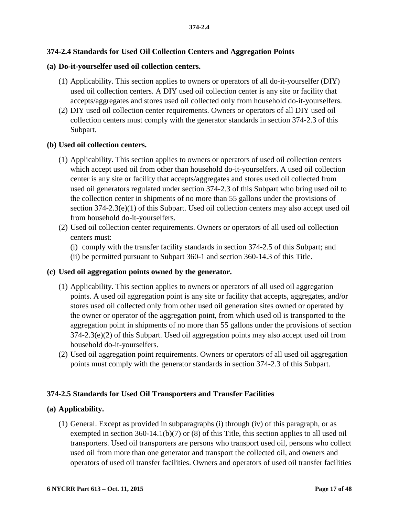### **374-2.4 Standards for Used Oil Collection Centers and Aggregation Points**

#### **(a) Do-it-yourselfer used oil collection centers.**

- (1) Applicability. This section applies to owners or operators of all do-it-yourselfer (DIY) used oil collection centers. A DIY used oil collection center is any site or facility that accepts/aggregates and stores used oil collected only from household do-it-yourselfers.
- (2) DIY used oil collection center requirements. Owners or operators of all DIY used oil collection centers must comply with the generator standards in section 374-2.3 of this Subpart.

#### **(b) Used oil collection centers.**

- (1) Applicability. This section applies to owners or operators of used oil collection centers which accept used oil from other than household do-it-yourselfers. A used oil collection center is any site or facility that accepts/aggregates and stores used oil collected from used oil generators regulated under section 374-2.3 of this Subpart who bring used oil to the collection center in shipments of no more than 55 gallons under the provisions of section  $374-2.3(e)(1)$  of this Subpart. Used oil collection centers may also accept used oil from household do-it-yourselfers.
- (2) Used oil collection center requirements. Owners or operators of all used oil collection centers must:
	- (i) comply with the transfer facility standards in section 374-2.5 of this Subpart; and
	- (ii) be permitted pursuant to Subpart 360-1 and section 360-14.3 of this Title.

#### **(c) Used oil aggregation points owned by the generator.**

- (1) Applicability. This section applies to owners or operators of all used oil aggregation points. A used oil aggregation point is any site or facility that accepts, aggregates, and/or stores used oil collected only from other used oil generation sites owned or operated by the owner or operator of the aggregation point, from which used oil is transported to the aggregation point in shipments of no more than 55 gallons under the provisions of section 374-2.3(e)(2) of this Subpart. Used oil aggregation points may also accept used oil from household do-it-yourselfers.
- (2) Used oil aggregation point requirements. Owners or operators of all used oil aggregation points must comply with the generator standards in section 374-2.3 of this Subpart.

#### <span id="page-16-0"></span>**374-2.5 Standards for Used Oil Transporters and Transfer Facilities**

#### **(a) Applicability.**

(1) General. Except as provided in subparagraphs (i) through (iv) of this paragraph, or as exempted in section 360-14.1(b)(7) or (8) of this Title, this section applies to all used oil transporters. Used oil transporters are persons who transport used oil, persons who collect used oil from more than one generator and transport the collected oil, and owners and operators of used oil transfer facilities. Owners and operators of used oil transfer facilities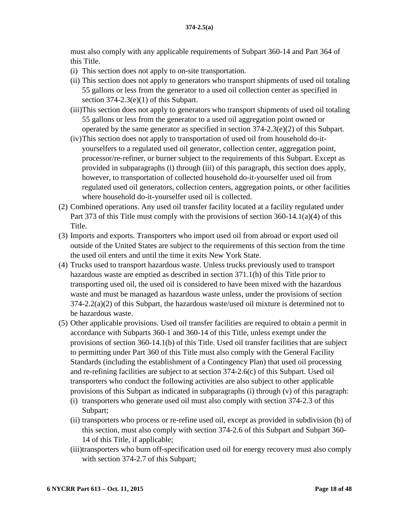must also comply with any applicable requirements of Subpart 360-14 and Part 364 of this Title.

- (i) This section does not apply to on-site transportation.
- (ii) This section does not apply to generators who transport shipments of used oil totaling 55 gallons or less from the generator to a used oil collection center as specified in section  $374-2.3(e)(1)$  of this Subpart.
- (iii)This section does not apply to generators who transport shipments of used oil totaling 55 gallons or less from the generator to a used oil aggregation point owned or operated by the same generator as specified in section 374-2.3(e)(2) of this Subpart.
- (iv)This section does not apply to transportation of used oil from household do-ityourselfers to a regulated used oil generator, collection center, aggregation point, processor/re-refiner, or burner subject to the requirements of this Subpart. Except as provided in subparagraphs (i) through (iii) of this paragraph, this section does apply, however, to transportation of collected household do-it-yourselfer used oil from regulated used oil generators, collection centers, aggregation points, or other facilities where household do-it-yourselfer used oil is collected.
- (2) Combined operations. Any used oil transfer facility located at a facility regulated under Part 373 of this Title must comply with the provisions of section  $360-14.1(a)(4)$  of this Title.
- (3) Imports and exports. Transporters who import used oil from abroad or export used oil outside of the United States are subject to the requirements of this section from the time the used oil enters and until the time it exits New York State.
- (4) Trucks used to transport hazardous waste. Unless trucks previously used to transport hazardous waste are emptied as described in section 371.1(h) of this Title prior to transporting used oil, the used oil is considered to have been mixed with the hazardous waste and must be managed as hazardous waste unless, under the provisions of section  $374-2.2(a)(2)$  of this Subpart, the hazardous waste/used oil mixture is determined not to be hazardous waste.
- (5) Other applicable provisions. Used oil transfer facilities are required to obtain a permit in accordance with Subparts 360-1 and 360-14 of this Title, unless exempt under the provisions of section 360-14.1(b) of this Title. Used oil transfer facilities that are subject to permitting under Part 360 of this Title must also comply with the General Facility Standards (including the establishment of a Contingency Plan) that used oil processing and re-refining facilities are subject to at section 374-2.6(c) of this Subpart. Used oil transporters who conduct the following activities are also subject to other applicable provisions of this Subpart as indicated in subparagraphs (i) through (v) of this paragraph:
	- (i) transporters who generate used oil must also comply with section 374-2.3 of this Subpart;
	- (ii) transporters who process or re-refine used oil, except as provided in subdivision (b) of this section, must also comply with section 374-2.6 of this Subpart and Subpart 360- 14 of this Title, if applicable;
	- (iii)transporters who burn off-specification used oil for energy recovery must also comply with section 374-2.7 of this Subpart;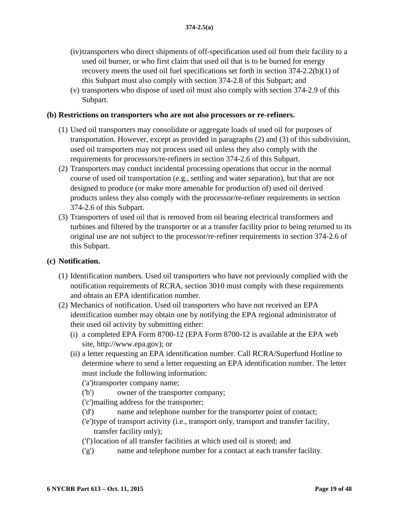- (iv)transporters who direct shipments of off-specification used oil from their facility to a used oil burner, or who first claim that used oil that is to be burned for energy recovery meets the used oil fuel specifications set forth in section 374-2.2(b)(1) of this Subpart must also comply with section 374-2.8 of this Subpart; and
- (v) transporters who dispose of used oil must also comply with section 374-2.9 of this Subpart.

#### **(b) Restrictions on transporters who are not also processors or re-refiners.**

- (1) Used oil transporters may consolidate or aggregate loads of used oil for purposes of transportation. However, except as provided in paragraphs (2) and (3) of this subdivision, used oil transporters may not process used oil unless they also comply with the requirements for processors/re-refiners in section 374-2.6 of this Subpart.
- (2) Transporters may conduct incidental processing operations that occur in the normal course of used oil transportation (e.g., settling and water separation), but that are not designed to produce (or make more amenable for production of) used oil derived products unless they also comply with the processor/re-refiner requirements in section 374-2.6 of this Subpart.
- (3) Transporters of used oil that is removed from oil bearing electrical transformers and turbines and filtered by the transporter or at a transfer facility prior to being returned to its original use are not subject to the processor/re-refiner requirements in section 374-2.6 of this Subpart.

#### **(c) Notification.**

- (1) Identification numbers. Used oil transporters who have not previously complied with the notification requirements of RCRA, section 3010 must comply with these requirements and obtain an EPA identification number.
- (2) Mechanics of notification. Used oil transporters who have not received an EPA identification number may obtain one by notifying the EPA regional administrator of their used oil activity by submitting either:
	- (i) a completed EPA Form 8700-12 (EPA Form 8700-12 is available at the EPA web site, http://www.epa.gov); or
	- (ii) a letter requesting an EPA identification number. Call RCRA/Superfund Hotline to determine where to send a letter requesting an EPA identification number. The letter must include the following information:

('a')transporter company name;

- ('b') owner of the transporter company;
- ('c')mailing address for the transporter;
- ('d') name and telephone number for the transporter point of contact;
- ('e')type of transport activity (i.e., transport only, transport and transfer facility, transfer facility only);

('f')location of all transfer facilities at which used oil is stored; and

('g') name and telephone number for a contact at each transfer facility.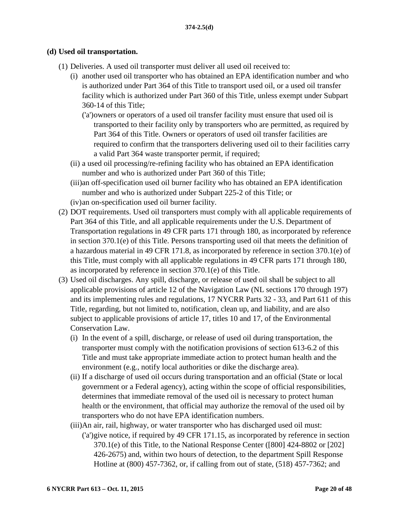### **(d) Used oil transportation.**

- (1) Deliveries. A used oil transporter must deliver all used oil received to:
	- (i) another used oil transporter who has obtained an EPA identification number and who is authorized under Part 364 of this Title to transport used oil, or a used oil transfer facility which is authorized under Part 360 of this Title, unless exempt under Subpart 360-14 of this Title;
		- ('a')owners or operators of a used oil transfer facility must ensure that used oil is transported to their facility only by transporters who are permitted, as required by Part 364 of this Title. Owners or operators of used oil transfer facilities are required to confirm that the transporters delivering used oil to their facilities carry a valid Part 364 waste transporter permit, if required;
	- (ii) a used oil processing/re-refining facility who has obtained an EPA identification number and who is authorized under Part 360 of this Title;
	- (iii)an off-specification used oil burner facility who has obtained an EPA identification number and who is authorized under Subpart 225-2 of this Title; or
	- (iv)an on-specification used oil burner facility.
- (2) DOT requirements. Used oil transporters must comply with all applicable requirements of Part 364 of this Title, and all applicable requirements under the U.S. Department of Transportation regulations in 49 CFR parts 171 through 180, as incorporated by reference in section 370.1(e) of this Title. Persons transporting used oil that meets the definition of a hazardous material in 49 CFR 171.8, as incorporated by reference in section 370.1(e) of this Title, must comply with all applicable regulations in 49 CFR parts 171 through 180, as incorporated by reference in section 370.1(e) of this Title.
- (3) Used oil discharges. Any spill, discharge, or release of used oil shall be subject to all applicable provisions of article 12 of the Navigation Law (NL sections 170 through 197) and its implementing rules and regulations, 17 NYCRR Parts 32 - 33, and Part 611 of this Title, regarding, but not limited to, notification, clean up, and liability, and are also subject to applicable provisions of article 17, titles 10 and 17, of the Environmental Conservation Law.
	- (i) In the event of a spill, discharge, or release of used oil during transportation, the transporter must comply with the notification provisions of section 613-6.2 of this Title and must take appropriate immediate action to protect human health and the environment (e.g., notify local authorities or dike the discharge area).
	- (ii) If a discharge of used oil occurs during transportation and an official (State or local government or a Federal agency), acting within the scope of official responsibilities, determines that immediate removal of the used oil is necessary to protect human health or the environment, that official may authorize the removal of the used oil by transporters who do not have EPA identification numbers.
	- (iii)An air, rail, highway, or water transporter who has discharged used oil must: ('a')give notice, if required by 49 CFR 171.15, as incorporated by reference in section 370.1(e) of this Title, to the National Response Center ([800] 424-8802 or [202] 426-2675) and, within two hours of detection, to the department Spill Response Hotline at (800) 457-7362, or, if calling from out of state, (518) 457-7362; and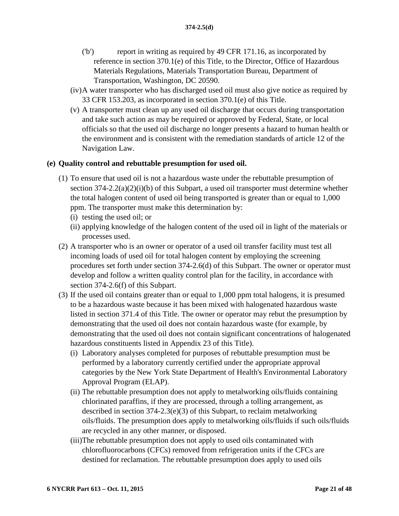- ('b') report in writing as required by 49 CFR 171.16, as incorporated by reference in section 370.1(e) of this Title, to the Director, Office of Hazardous Materials Regulations, Materials Transportation Bureau, Department of Transportation, Washington, DC 20590.
- (iv)A water transporter who has discharged used oil must also give notice as required by 33 CFR 153.203, as incorporated in section 370.1(e) of this Title.
- (v) A transporter must clean up any used oil discharge that occurs during transportation and take such action as may be required or approved by Federal, State, or local officials so that the used oil discharge no longer presents a hazard to human health or the environment and is consistent with the remediation standards of article 12 of the Navigation Law.

## **(e) Quality control and rebuttable presumption for used oil.**

- (1) To ensure that used oil is not a hazardous waste under the rebuttable presumption of section 374-2.2(a)(2)(i)(b) of this Subpart, a used oil transporter must determine whether the total halogen content of used oil being transported is greater than or equal to 1,000 ppm. The transporter must make this determination by:
	- (i) testing the used oil; or
	- (ii) applying knowledge of the halogen content of the used oil in light of the materials or processes used.
- (2) A transporter who is an owner or operator of a used oil transfer facility must test all incoming loads of used oil for total halogen content by employing the screening procedures set forth under section 374-2.6(d) of this Subpart. The owner or operator must develop and follow a written quality control plan for the facility, in accordance with section 374-2.6(f) of this Subpart.
- (3) If the used oil contains greater than or equal to 1,000 ppm total halogens, it is presumed to be a hazardous waste because it has been mixed with halogenated hazardous waste listed in section 371.4 of this Title. The owner or operator may rebut the presumption by demonstrating that the used oil does not contain hazardous waste (for example, by demonstrating that the used oil does not contain significant concentrations of halogenated hazardous constituents listed in Appendix 23 of this Title).
	- (i) Laboratory analyses completed for purposes of rebuttable presumption must be performed by a laboratory currently certified under the appropriate approval categories by the New York State Department of Health's Environmental Laboratory Approval Program (ELAP).
	- (ii) The rebuttable presumption does not apply to metalworking oils/fluids containing chlorinated paraffins, if they are processed, through a tolling arrangement, as described in section 374-2.3(e)(3) of this Subpart, to reclaim metalworking oils/fluids. The presumption does apply to metalworking oils/fluids if such oils/fluids are recycled in any other manner, or disposed.
	- (iii)The rebuttable presumption does not apply to used oils contaminated with chlorofluorocarbons (CFCs) removed from refrigeration units if the CFCs are destined for reclamation. The rebuttable presumption does apply to used oils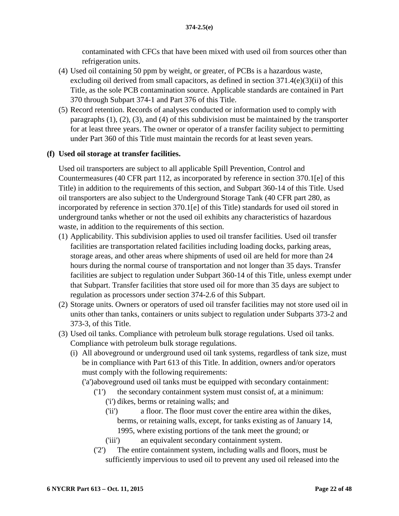contaminated with CFCs that have been mixed with used oil from sources other than refrigeration units.

- (4) Used oil containing 50 ppm by weight, or greater, of PCBs is a hazardous waste, excluding oil derived from small capacitors, as defined in section  $371.4(e)(3)(ii)$  of this Title, as the sole PCB contamination source. Applicable standards are contained in Part 370 through Subpart 374-1 and Part 376 of this Title.
- (5) Record retention. Records of analyses conducted or information used to comply with paragraphs (1), (2), (3), and (4) of this subdivision must be maintained by the transporter for at least three years. The owner or operator of a transfer facility subject to permitting under Part 360 of this Title must maintain the records for at least seven years.

### **(f) Used oil storage at transfer facilities.**

Used oil transporters are subject to all applicable Spill Prevention, Control and Countermeasures (40 CFR part 112, as incorporated by reference in section 370.1[e] of this Title) in addition to the requirements of this section, and Subpart 360-14 of this Title. Used oil transporters are also subject to the Underground Storage Tank (40 CFR part 280, as incorporated by reference in section 370.1[e] of this Title) standards for used oil stored in underground tanks whether or not the used oil exhibits any characteristics of hazardous waste, in addition to the requirements of this section.

- (1) Applicability. This subdivision applies to used oil transfer facilities. Used oil transfer facilities are transportation related facilities including loading docks, parking areas, storage areas, and other areas where shipments of used oil are held for more than 24 hours during the normal course of transportation and not longer than 35 days. Transfer facilities are subject to regulation under Subpart 360-14 of this Title, unless exempt under that Subpart. Transfer facilities that store used oil for more than 35 days are subject to regulation as processors under section 374-2.6 of this Subpart.
- (2) Storage units. Owners or operators of used oil transfer facilities may not store used oil in units other than tanks, containers or units subject to regulation under Subparts 373-2 and 373-3, of this Title.
- (3) Used oil tanks. Compliance with petroleum bulk storage regulations. Used oil tanks. Compliance with petroleum bulk storage regulations.
	- (i) All aboveground or underground used oil tank systems, regardless of tank size, must be in compliance with Part 613 of this Title. In addition, owners and/or operators must comply with the following requirements:
		- ('a')aboveground used oil tanks must be equipped with secondary containment:
			- ('1') the secondary containment system must consist of, at a minimum:
				- ('i') dikes, berms or retaining walls; and
				- ('ii') a floor. The floor must cover the entire area within the dikes, berms, or retaining walls, except, for tanks existing as of January 14, 1995, where existing portions of the tank meet the ground; or
				- ('iii') an equivalent secondary containment system.
			- ('2') The entire containment system, including walls and floors, must be sufficiently impervious to used oil to prevent any used oil released into the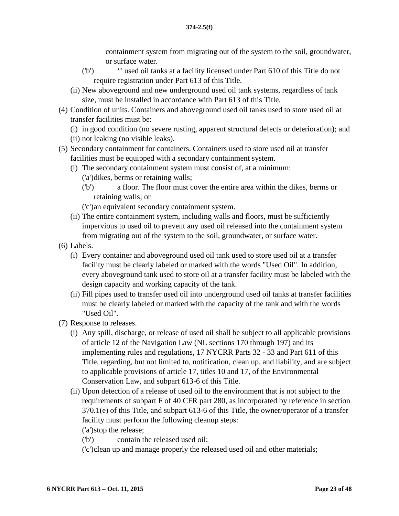containment system from migrating out of the system to the soil, groundwater, or surface water.

- ('b') '' used oil tanks at a facility licensed under Part 610 of this Title do not require registration under Part 613 of this Title.
- (ii) New aboveground and new underground used oil tank systems, regardless of tank size, must be installed in accordance with Part 613 of this Title.
- (4) Condition of units. Containers and aboveground used oil tanks used to store used oil at transfer facilities must be:
	- (i) in good condition (no severe rusting, apparent structural defects or deterioration); and (ii) not leaking (no visible leaks).
- (5) Secondary containment for containers. Containers used to store used oil at transfer facilities must be equipped with a secondary containment system.
	- (i) The secondary containment system must consist of, at a minimum:
		- ('a')dikes, berms or retaining walls;
		- ('b') a floor. The floor must cover the entire area within the dikes, berms or retaining walls; or

('c')an equivalent secondary containment system.

- (ii) The entire containment system, including walls and floors, must be sufficiently impervious to used oil to prevent any used oil released into the containment system from migrating out of the system to the soil, groundwater, or surface water.
- (6) Labels.
	- (i) Every container and aboveground used oil tank used to store used oil at a transfer facility must be clearly labeled or marked with the words "Used Oil". In addition, every aboveground tank used to store oil at a transfer facility must be labeled with the design capacity and working capacity of the tank.
	- (ii) Fill pipes used to transfer used oil into underground used oil tanks at transfer facilities must be clearly labeled or marked with the capacity of the tank and with the words "Used Oil".
- (7) Response to releases.
	- (i) Any spill, discharge, or release of used oil shall be subject to all applicable provisions of article 12 of the Navigation Law (NL sections 170 through 197) and its implementing rules and regulations, 17 NYCRR Parts 32 - 33 and Part 611 of this Title, regarding, but not limited to, notification, clean up, and liability, and are subject to applicable provisions of article 17, titles 10 and 17, of the Environmental Conservation Law, and subpart 613-6 of this Title.
	- (ii) Upon detection of a release of used oil to the environment that is not subject to the requirements of subpart F of 40 CFR part 280, as incorporated by reference in section 370.1(e) of this Title, and subpart 613-6 of this Title, the owner/operator of a transfer facility must perform the following cleanup steps: ('a')stop the release;
		- ('b') contain the released used oil;
		- ('c')clean up and manage properly the released used oil and other materials;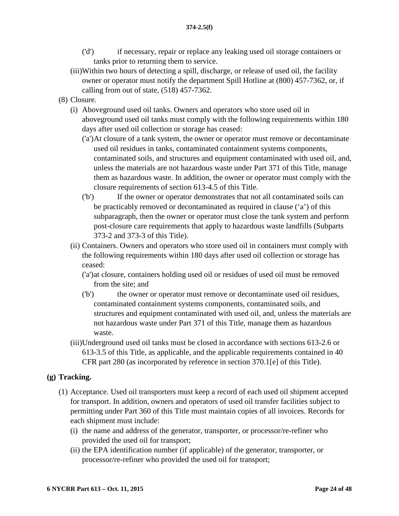- ('d') if necessary, repair or replace any leaking used oil storage containers or tanks prior to returning them to service.
- (iii)Within two hours of detecting a spill, discharge, or release of used oil, the facility owner or operator must notify the department Spill Hotline at (800) 457-7362, or, if calling from out of state, (518) 457-7362.
- (8) Closure.
	- (i) Aboveground used oil tanks. Owners and operators who store used oil in aboveground used oil tanks must comply with the following requirements within 180 days after used oil collection or storage has ceased:
		- ('a')At closure of a tank system, the owner or operator must remove or decontaminate used oil residues in tanks, contaminated containment systems components, contaminated soils, and structures and equipment contaminated with used oil, and, unless the materials are not hazardous waste under Part 371 of this Title, manage them as hazardous waste. In addition, the owner or operator must comply with the closure requirements of section 613-4.5 of this Title.
		- ('b') If the owner or operator demonstrates that not all contaminated soils can be practicably removed or decontaminated as required in clause ('a') of this subparagraph, then the owner or operator must close the tank system and perform post-closure care requirements that apply to hazardous waste landfills (Subparts 373-2 and 373-3 of this Title).
	- (ii) Containers. Owners and operators who store used oil in containers must comply with the following requirements within 180 days after used oil collection or storage has ceased:
		- ('a')at closure, containers holding used oil or residues of used oil must be removed from the site; and
		- ('b') the owner or operator must remove or decontaminate used oil residues, contaminated containment systems components, contaminated soils, and structures and equipment contaminated with used oil, and, unless the materials are not hazardous waste under Part 371 of this Title, manage them as hazardous waste.
	- (iii)Underground used oil tanks must be closed in accordance with sections 613-2.6 or 613-3.5 of this Title, as applicable, and the applicable requirements contained in 40 CFR part 280 (as incorporated by reference in section 370.1[e] of this Title).

## **(g) Tracking.**

- (1) Acceptance. Used oil transporters must keep a record of each used oil shipment accepted for transport. In addition, owners and operators of used oil transfer facilities subject to permitting under Part 360 of this Title must maintain copies of all invoices. Records for each shipment must include:
	- (i) the name and address of the generator, transporter, or processor/re-refiner who provided the used oil for transport;
	- (ii) the EPA identification number (if applicable) of the generator, transporter, or processor/re-refiner who provided the used oil for transport;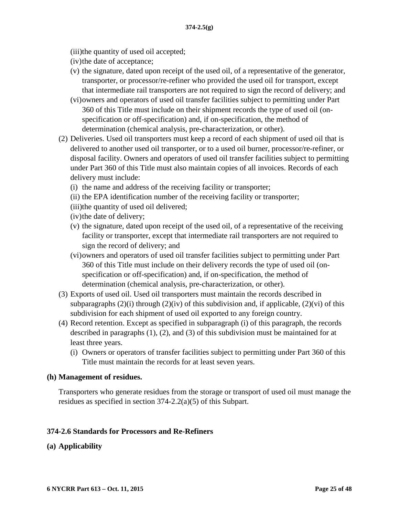(iii)the quantity of used oil accepted;

(iv)the date of acceptance;

- (v) the signature, dated upon receipt of the used oil, of a representative of the generator, transporter, or processor/re-refiner who provided the used oil for transport, except that intermediate rail transporters are not required to sign the record of delivery; and
- (vi)owners and operators of used oil transfer facilities subject to permitting under Part 360 of this Title must include on their shipment records the type of used oil (onspecification or off-specification) and, if on-specification, the method of determination (chemical analysis, pre-characterization, or other).
- (2) Deliveries. Used oil transporters must keep a record of each shipment of used oil that is delivered to another used oil transporter, or to a used oil burner, processor/re-refiner, or disposal facility. Owners and operators of used oil transfer facilities subject to permitting under Part 360 of this Title must also maintain copies of all invoices. Records of each delivery must include:
	- (i) the name and address of the receiving facility or transporter;
	- (ii) the EPA identification number of the receiving facility or transporter;
	- (iii)the quantity of used oil delivered;
	- (iv)the date of delivery;
	- (v) the signature, dated upon receipt of the used oil, of a representative of the receiving facility or transporter, except that intermediate rail transporters are not required to sign the record of delivery; and
	- (vi)owners and operators of used oil transfer facilities subject to permitting under Part 360 of this Title must include on their delivery records the type of used oil (onspecification or off-specification) and, if on-specification, the method of determination (chemical analysis, pre-characterization, or other).
- (3) Exports of used oil. Used oil transporters must maintain the records described in subparagraphs  $(2)(i)$  through  $(2)(iv)$  of this subdivision and, if applicable,  $(2)(vi)$  of this subdivision for each shipment of used oil exported to any foreign country.
- (4) Record retention. Except as specified in subparagraph (i) of this paragraph, the records described in paragraphs (1), (2), and (3) of this subdivision must be maintained for at least three years.
	- (i) Owners or operators of transfer facilities subject to permitting under Part 360 of this Title must maintain the records for at least seven years.

#### **(h) Management of residues.**

Transporters who generate residues from the storage or transport of used oil must manage the residues as specified in section 374-2.2(a)(5) of this Subpart.

#### <span id="page-24-0"></span>**374-2.6 Standards for Processors and Re-Refiners**

#### **(a) Applicability**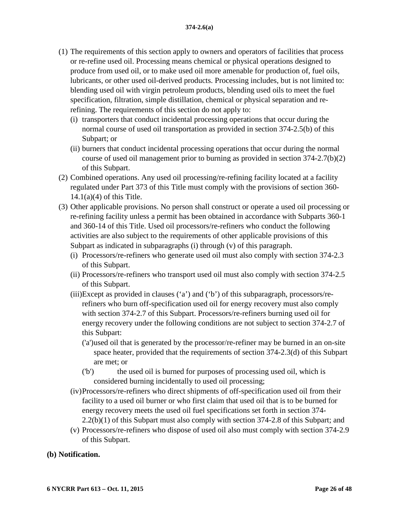- (1) The requirements of this section apply to owners and operators of facilities that process or re-refine used oil. Processing means chemical or physical operations designed to produce from used oil, or to make used oil more amenable for production of, fuel oils, lubricants, or other used oil-derived products. Processing includes, but is not limited to: blending used oil with virgin petroleum products, blending used oils to meet the fuel specification, filtration, simple distillation, chemical or physical separation and rerefining. The requirements of this section do not apply to:
	- (i) transporters that conduct incidental processing operations that occur during the normal course of used oil transportation as provided in section 374-2.5(b) of this Subpart; or
	- (ii) burners that conduct incidental processing operations that occur during the normal course of used oil management prior to burning as provided in section 374-2.7(b)(2) of this Subpart.
- (2) Combined operations. Any used oil processing/re-refining facility located at a facility regulated under Part 373 of this Title must comply with the provisions of section 360-  $14.1(a)(4)$  of this Title.
- (3) Other applicable provisions. No person shall construct or operate a used oil processing or re-refining facility unless a permit has been obtained in accordance with Subparts 360-1 and 360-14 of this Title. Used oil processors/re-refiners who conduct the following activities are also subject to the requirements of other applicable provisions of this Subpart as indicated in subparagraphs (i) through (v) of this paragraph.
	- (i) Processors/re-refiners who generate used oil must also comply with section 374-2.3 of this Subpart.
	- (ii) Processors/re-refiners who transport used oil must also comply with section 374-2.5 of this Subpart.
	- (iii)Except as provided in clauses ('a') and ('b') of this subparagraph, processors/rerefiners who burn off-specification used oil for energy recovery must also comply with section 374-2.7 of this Subpart. Processors/re-refiners burning used oil for energy recovery under the following conditions are not subject to section 374-2.7 of this Subpart:
		- ('a')used oil that is generated by the processor/re-refiner may be burned in an on-site space heater, provided that the requirements of section 374-2.3(d) of this Subpart are met; or
		- ('b') the used oil is burned for purposes of processing used oil, which is considered burning incidentally to used oil processing;
	- (iv)Processors/re-refiners who direct shipments of off-specification used oil from their facility to a used oil burner or who first claim that used oil that is to be burned for energy recovery meets the used oil fuel specifications set forth in section 374- 2.2(b)(1) of this Subpart must also comply with section 374-2.8 of this Subpart; and
	- (v) Processors/re-refiners who dispose of used oil also must comply with section 374-2.9 of this Subpart.

## **(b) Notification.**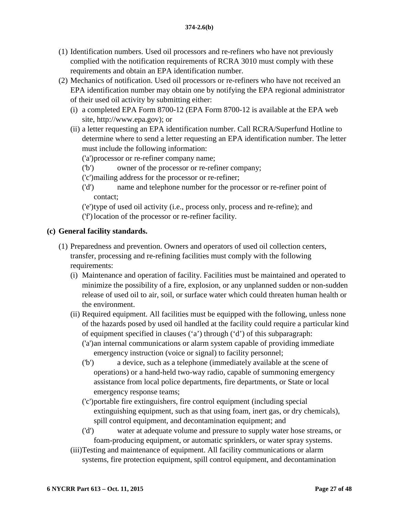- (1) Identification numbers. Used oil processors and re-refiners who have not previously complied with the notification requirements of RCRA 3010 must comply with these requirements and obtain an EPA identification number.
- (2) Mechanics of notification. Used oil processors or re-refiners who have not received an EPA identification number may obtain one by notifying the EPA regional administrator of their used oil activity by submitting either:
	- (i) a completed EPA Form 8700-12 (EPA Form 8700-12 is available at the EPA web site, http://www.epa.gov); or
	- (ii) a letter requesting an EPA identification number. Call RCRA/Superfund Hotline to determine where to send a letter requesting an EPA identification number. The letter must include the following information:

('a')processor or re-refiner company name;

- ('b') owner of the processor or re-refiner company;
- ('c')mailing address for the processor or re-refiner;
- ('d') name and telephone number for the processor or re-refiner point of contact;

('e')type of used oil activity (i.e., process only, process and re-refine); and ('f')location of the processor or re-refiner facility.

### **(c) General facility standards.**

- (1) Preparedness and prevention. Owners and operators of used oil collection centers, transfer, processing and re-refining facilities must comply with the following requirements:
	- (i) Maintenance and operation of facility. Facilities must be maintained and operated to minimize the possibility of a fire, explosion, or any unplanned sudden or non-sudden release of used oil to air, soil, or surface water which could threaten human health or the environment.
	- (ii) Required equipment. All facilities must be equipped with the following, unless none of the hazards posed by used oil handled at the facility could require a particular kind of equipment specified in clauses ('a') through ('d') of this subparagraph:
		- ('a')an internal communications or alarm system capable of providing immediate emergency instruction (voice or signal) to facility personnel;
		- ('b') a device, such as a telephone (immediately available at the scene of operations) or a hand-held two-way radio, capable of summoning emergency assistance from local police departments, fire departments, or State or local emergency response teams;
		- ('c')portable fire extinguishers, fire control equipment (including special extinguishing equipment, such as that using foam, inert gas, or dry chemicals), spill control equipment, and decontamination equipment; and
		- ('d') water at adequate volume and pressure to supply water hose streams, or foam-producing equipment, or automatic sprinklers, or water spray systems.
	- (iii)Testing and maintenance of equipment. All facility communications or alarm systems, fire protection equipment, spill control equipment, and decontamination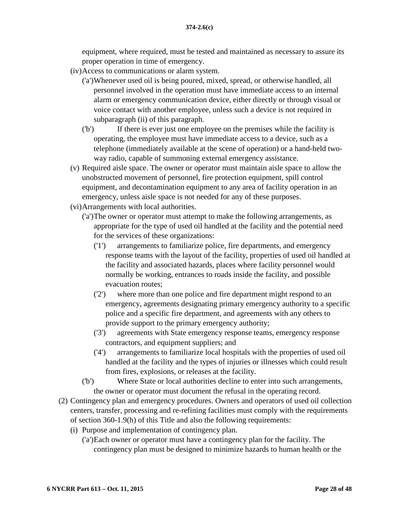equipment, where required, must be tested and maintained as necessary to assure its proper operation in time of emergency.

- (iv)Access to communications or alarm system.
	- ('a')Whenever used oil is being poured, mixed, spread, or otherwise handled, all personnel involved in the operation must have immediate access to an internal alarm or emergency communication device, either directly or through visual or voice contact with another employee, unless such a device is not required in subparagraph (ii) of this paragraph.
	- ('b') If there is ever just one employee on the premises while the facility is operating, the employee must have immediate access to a device, such as a telephone (immediately available at the scene of operation) or a hand-held twoway radio, capable of summoning external emergency assistance.
- (v) Required aisle space. The owner or operator must maintain aisle space to allow the unobstructed movement of personnel, fire protection equipment, spill control equipment, and decontamination equipment to any area of facility operation in an emergency, unless aisle space is not needed for any of these purposes.
- (vi)Arrangements with local authorities.
	- ('a')The owner or operator must attempt to make the following arrangements, as appropriate for the type of used oil handled at the facility and the potential need for the services of these organizations:
		- ('1') arrangements to familiarize police, fire departments, and emergency response teams with the layout of the facility, properties of used oil handled at the facility and associated hazards, places where facility personnel would normally be working, entrances to roads inside the facility, and possible evacuation routes;
		- ('2') where more than one police and fire department might respond to an emergency, agreements designating primary emergency authority to a specific police and a specific fire department, and agreements with any others to provide support to the primary emergency authority;
		- ('3') agreements with State emergency response teams, emergency response contractors, and equipment suppliers; and
		- ('4') arrangements to familiarize local hospitals with the properties of used oil handled at the facility and the types of injuries or illnesses which could result from fires, explosions, or releases at the facility.
	- ('b') Where State or local authorities decline to enter into such arrangements, the owner or operator must document the refusal in the operating record.
- (2) Contingency plan and emergency procedures. Owners and operators of used oil collection centers, transfer, processing and re-refining facilities must comply with the requirements of section 360-1.9(h) of this Title and also the following requirements:
	- (i) Purpose and implementation of contingency plan.
		- ('a')Each owner or operator must have a contingency plan for the facility. The contingency plan must be designed to minimize hazards to human health or the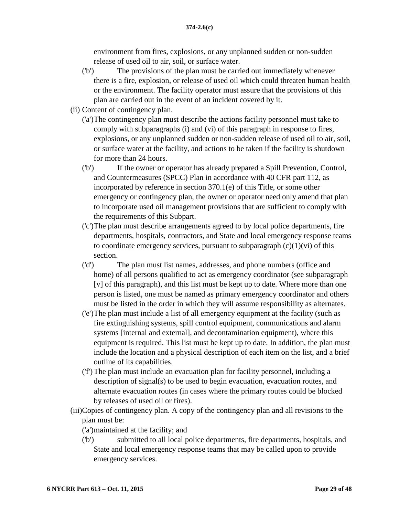environment from fires, explosions, or any unplanned sudden or non-sudden release of used oil to air, soil, or surface water.

- ('b') The provisions of the plan must be carried out immediately whenever there is a fire, explosion, or release of used oil which could threaten human health or the environment. The facility operator must assure that the provisions of this plan are carried out in the event of an incident covered by it.
- (ii) Content of contingency plan.
	- ('a')The contingency plan must describe the actions facility personnel must take to comply with subparagraphs (i) and (vi) of this paragraph in response to fires, explosions, or any unplanned sudden or non-sudden release of used oil to air, soil, or surface water at the facility, and actions to be taken if the facility is shutdown for more than 24 hours.
	- ('b') If the owner or operator has already prepared a Spill Prevention, Control, and Countermeasures (SPCC) Plan in accordance with 40 CFR part 112, as incorporated by reference in section 370.1(e) of this Title, or some other emergency or contingency plan, the owner or operator need only amend that plan to incorporate used oil management provisions that are sufficient to comply with the requirements of this Subpart.
	- ('c')The plan must describe arrangements agreed to by local police departments, fire departments, hospitals, contractors, and State and local emergency response teams to coordinate emergency services, pursuant to subparagraph  $(c)(1)(vi)$  of this section.
	- ('d') The plan must list names, addresses, and phone numbers (office and home) of all persons qualified to act as emergency coordinator (see subparagraph [v] of this paragraph), and this list must be kept up to date. Where more than one person is listed, one must be named as primary emergency coordinator and others must be listed in the order in which they will assume responsibility as alternates.
	- ('e')The plan must include a list of all emergency equipment at the facility (such as fire extinguishing systems, spill control equipment, communications and alarm systems [internal and external], and decontamination equipment), where this equipment is required. This list must be kept up to date. In addition, the plan must include the location and a physical description of each item on the list, and a brief outline of its capabilities.
	- ('f')The plan must include an evacuation plan for facility personnel, including a description of signal(s) to be used to begin evacuation, evacuation routes, and alternate evacuation routes (in cases where the primary routes could be blocked by releases of used oil or fires).
- (iii)Copies of contingency plan. A copy of the contingency plan and all revisions to the plan must be:

('a')maintained at the facility; and

('b') submitted to all local police departments, fire departments, hospitals, and State and local emergency response teams that may be called upon to provide emergency services.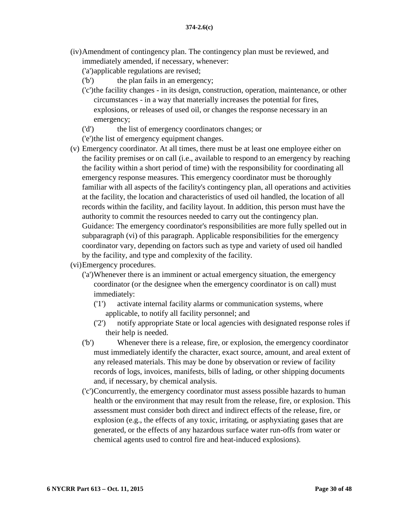(iv)Amendment of contingency plan. The contingency plan must be reviewed, and immediately amended, if necessary, whenever:

('a')applicable regulations are revised;

- ('b') the plan fails in an emergency;
- ('c')the facility changes in its design, construction, operation, maintenance, or other circumstances - in a way that materially increases the potential for fires, explosions, or releases of used oil, or changes the response necessary in an emergency;
- ('d') the list of emergency coordinators changes; or
- ('e')the list of emergency equipment changes.
- (v) Emergency coordinator. At all times, there must be at least one employee either on the facility premises or on call (i.e., available to respond to an emergency by reaching the facility within a short period of time) with the responsibility for coordinating all emergency response measures. This emergency coordinator must be thoroughly familiar with all aspects of the facility's contingency plan, all operations and activities at the facility, the location and characteristics of used oil handled, the location of all records within the facility, and facility layout. In addition, this person must have the authority to commit the resources needed to carry out the contingency plan. Guidance: The emergency coordinator's responsibilities are more fully spelled out in subparagraph (vi) of this paragraph. Applicable responsibilities for the emergency coordinator vary, depending on factors such as type and variety of used oil handled by the facility, and type and complexity of the facility.

#### (vi)Emergency procedures.

- ('a')Whenever there is an imminent or actual emergency situation, the emergency coordinator (or the designee when the emergency coordinator is on call) must immediately:
	- ('1') activate internal facility alarms or communication systems, where applicable, to notify all facility personnel; and
	- ('2') notify appropriate State or local agencies with designated response roles if their help is needed.
- ('b') Whenever there is a release, fire, or explosion, the emergency coordinator must immediately identify the character, exact source, amount, and areal extent of any released materials. This may be done by observation or review of facility records of logs, invoices, manifests, bills of lading, or other shipping documents and, if necessary, by chemical analysis.
- ('c')Concurrently, the emergency coordinator must assess possible hazards to human health or the environment that may result from the release, fire, or explosion. This assessment must consider both direct and indirect effects of the release, fire, or explosion (e.g., the effects of any toxic, irritating, or asphyxiating gases that are generated, or the effects of any hazardous surface water run-offs from water or chemical agents used to control fire and heat-induced explosions).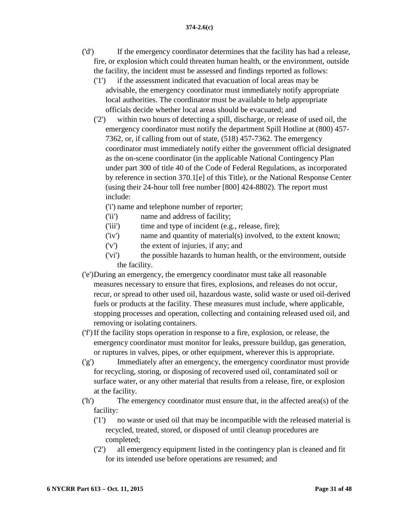- ('d') If the emergency coordinator determines that the facility has had a release, fire, or explosion which could threaten human health, or the environment, outside the facility, the incident must be assessed and findings reported as follows:
	- ('1') if the assessment indicated that evacuation of local areas may be advisable, the emergency coordinator must immediately notify appropriate local authorities. The coordinator must be available to help appropriate officials decide whether local areas should be evacuated; and
	- ('2') within two hours of detecting a spill, discharge, or release of used oil, the emergency coordinator must notify the department Spill Hotline at (800) 457- 7362, or, if calling from out of state, (518) 457-7362. The emergency coordinator must immediately notify either the government official designated as the on-scene coordinator (in the applicable National Contingency Plan under part 300 of title 40 of the Code of Federal Regulations, as incorporated by reference in section 370.1[e] of this Title), or the National Response Center (using their 24-hour toll free number [800] 424-8802). The report must include:
		- ('i') name and telephone number of reporter;
		- ('ii') name and address of facility;
		- ('iii') time and type of incident (e.g., release, fire);
		- ('iv') name and quantity of material(s) involved, to the extent known;
		- ('v') the extent of injuries, if any; and
		- ('vi') the possible hazards to human health, or the environment, outside the facility.
- ('e')During an emergency, the emergency coordinator must take all reasonable measures necessary to ensure that fires, explosions, and releases do not occur, recur, or spread to other used oil, hazardous waste, solid waste or used oil-derived fuels or products at the facility. These measures must include, where applicable, stopping processes and operation, collecting and containing released used oil, and removing or isolating containers.
- ('f')If the facility stops operation in response to a fire, explosion, or release, the emergency coordinator must monitor for leaks, pressure buildup, gas generation, or ruptures in valves, pipes, or other equipment, wherever this is appropriate.
- ('g') Immediately after an emergency, the emergency coordinator must provide for recycling, storing, or disposing of recovered used oil, contaminated soil or surface water, or any other material that results from a release, fire, or explosion at the facility.
- ('h') The emergency coordinator must ensure that, in the affected area(s) of the facility:
	- ('1') no waste or used oil that may be incompatible with the released material is recycled, treated, stored, or disposed of until cleanup procedures are completed;
	- ('2') all emergency equipment listed in the contingency plan is cleaned and fit for its intended use before operations are resumed; and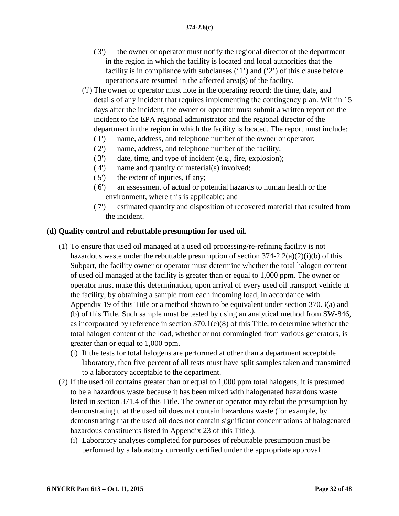- ('3') the owner or operator must notify the regional director of the department in the region in which the facility is located and local authorities that the facility is in compliance with subclauses ('1') and ('2') of this clause before operations are resumed in the affected area(s) of the facility.
- ('i') The owner or operator must note in the operating record: the time, date, and details of any incident that requires implementing the contingency plan. Within 15 days after the incident, the owner or operator must submit a written report on the incident to the EPA regional administrator and the regional director of the department in the region in which the facility is located. The report must include:
	- ('1') name, address, and telephone number of the owner or operator;
	- ('2') name, address, and telephone number of the facility;
	- ('3') date, time, and type of incident (e.g., fire, explosion);
	- ('4') name and quantity of material(s) involved;
	- ('5') the extent of injuries, if any;
	- ('6') an assessment of actual or potential hazards to human health or the environment, where this is applicable; and
	- ('7') estimated quantity and disposition of recovered material that resulted from the incident.

#### **(d) Quality control and rebuttable presumption for used oil.**

- (1) To ensure that used oil managed at a used oil processing/re-refining facility is not hazardous waste under the rebuttable presumption of section  $374-2.2(a)(2)(i)(b)$  of this Subpart, the facility owner or operator must determine whether the total halogen content of used oil managed at the facility is greater than or equal to 1,000 ppm. The owner or operator must make this determination, upon arrival of every used oil transport vehicle at the facility, by obtaining a sample from each incoming load, in accordance with Appendix 19 of this Title or a method shown to be equivalent under section 370.3(a) and (b) of this Title. Such sample must be tested by using an analytical method from SW-846, as incorporated by reference in section  $370.1(e)(8)$  of this Title, to determine whether the total halogen content of the load, whether or not commingled from various generators, is greater than or equal to 1,000 ppm.
	- (i) If the tests for total halogens are performed at other than a department acceptable laboratory, then five percent of all tests must have split samples taken and transmitted to a laboratory acceptable to the department.
- (2) If the used oil contains greater than or equal to 1,000 ppm total halogens, it is presumed to be a hazardous waste because it has been mixed with halogenated hazardous waste listed in section 371.4 of this Title. The owner or operator may rebut the presumption by demonstrating that the used oil does not contain hazardous waste (for example, by demonstrating that the used oil does not contain significant concentrations of halogenated hazardous constituents listed in Appendix 23 of this Title.).
	- (i) Laboratory analyses completed for purposes of rebuttable presumption must be performed by a laboratory currently certified under the appropriate approval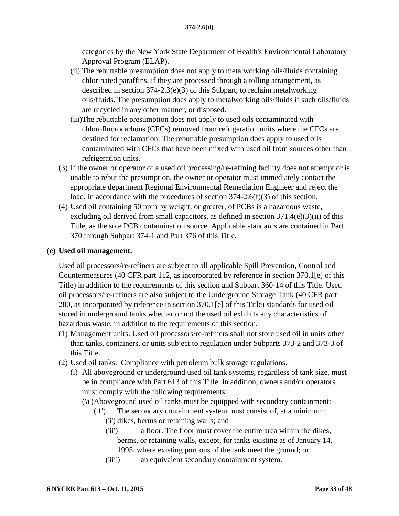categories by the New York State Department of Health's Environmental Laboratory Approval Program (ELAP).

- (ii) The rebuttable presumption does not apply to metalworking oils/fluids containing chlorinated paraffins, if they are processed through a tolling arrangement, as described in section 374-2.3(e)(3) of this Subpart, to reclaim metalworking oils/fluids. The presumption does apply to metalworking oils/fluids if such oils/fluids are recycled in any other manner, or disposed.
- (iii)The rebuttable presumption does not apply to used oils contaminated with chlorofluorocarbons (CFCs) removed from refrigeration units where the CFCs are destined for reclamation. The rebuttable presumption does apply to used oils contaminated with CFCs that have been mixed with used oil from sources other than refrigeration units.
- (3) If the owner or operator of a used oil processing/re-refining facility does not attempt or is unable to rebut the presumption, the owner or operator must immediately contact the appropriate department Regional Environmental Remediation Engineer and reject the load, in accordance with the procedures of section 374-2.6(f)(3) of this section.
- (4) Used oil containing 50 ppm by weight, or greater, of PCBs is a hazardous waste, excluding oil derived from small capacitors, as defined in section  $371.4(e)(3)(ii)$  of this Title, as the sole PCB contamination source. Applicable standards are contained in Part 370 through Subpart 374-1 and Part 376 of this Title.

### **(e) Used oil management.**

Used oil processors/re-refiners are subject to all applicable Spill Prevention, Control and Countermeasures (40 CFR part 112, as incorporated by reference in section 370.1[e] of this Title) in addition to the requirements of this section and Subpart 360-14 of this Title. Used oil processors/re-refiners are also subject to the Underground Storage Tank (40 CFR part 280, as incorporated by reference in section 370.1[e] of this Title) standards for used oil stored in underground tanks whether or not the used oil exhibits any characteristics of hazardous waste, in addition to the requirements of this section.

- (1) Management units. Used oil processors/re-refiners shall not store used oil in units other than tanks, containers, or units subject to regulation under Subparts 373-2 and 373-3 of this Title.
- (2) Used oil tanks. Compliance with petroleum bulk storage regulations.
	- (i) All aboveground or underground used oil tank systems, regardless of tank size, must be in compliance with Part 613 of this Title. In addition, owners and/or operators must comply with the following requirements:

('a')Aboveground used oil tanks must be equipped with secondary containment:

- ('1') The secondary containment system must consist of, at a minimum:
	- ('i') dikes, berms or retaining walls; and
	- ('ii') a floor. The floor must cover the entire area within the dikes, berms, or retaining walls, except, for tanks existing as of January 14, 1995, where existing portions of the tank meet the ground; or
	- ('iii') an equivalent secondary containment system.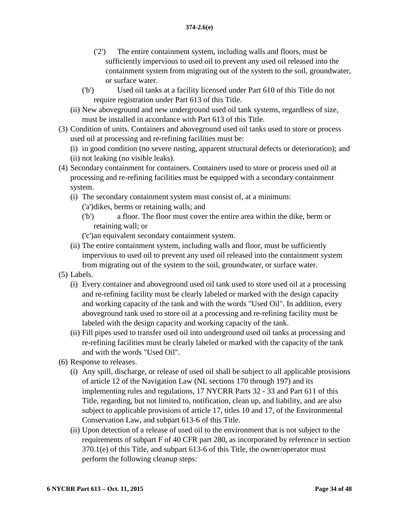- ('2') The entire containment system, including walls and floors, must be sufficiently impervious to used oil to prevent any used oil released into the containment system from migrating out of the system to the soil, groundwater, or surface water.
- ('b') Used oil tanks at a facility licensed under Part 610 of this Title do not require registration under Part 613 of this Title.
- (ii) New aboveground and new underground used oil tank systems, regardless of size, must be installed in accordance with Part 613 of this Title.
- (3) Condition of units. Containers and aboveground used oil tanks used to store or process used oil at processing and re-refining facilities must be:
	- (i) in good condition (no severe rusting, apparent structural defects or deterioration); and
	- (ii) not leaking (no visible leaks).
- (4) Secondary containment for containers. Containers used to store or process used oil at processing and re-refining facilities must be equipped with a secondary containment system.
	- (i) The secondary containment system must consist of, at a minimum: ('a')dikes, berms or retaining walls; and
		- ('b') a floor. The floor must cover the entire area within the dike, berm or retaining wall; or
		- ('c')an equivalent secondary containment system.
	- (ii) The entire containment system, including walls and floor, must be sufficiently impervious to used oil to prevent any used oil released into the containment system from migrating out of the system to the soil, groundwater, or surface water.
- (5) Labels.
	- (i) Every container and aboveground used oil tank used to store used oil at a processing and re-refining facility must be clearly labeled or marked with the design capacity and working capacity of the tank and with the words "Used Oil". In addition, every aboveground tank used to store oil at a processing and re-refining facility must be labeled with the design capacity and working capacity of the tank.
	- (ii) Fill pipes used to transfer used oil into underground used oil tanks at processing and re-refining facilities must be clearly labeled or marked with the capacity of the tank and with the words "Used Oil".
- (6) Response to releases.
	- (i) Any spill, discharge, or release of used oil shall be subject to all applicable provisions of article 12 of the Navigation Law (NL sections 170 through 197) and its implementing rules and regulations, 17 NYCRR Parts 32 - 33 and Part 611 of this Title, regarding, but not limited to, notification, clean up, and liability, and are also subject to applicable provisions of article 17, titles 10 and 17, of the Environmental Conservation Law, and subpart 613-6 of this Title.
	- (ii) Upon detection of a release of used oil to the environment that is not subject to the requirements of subpart F of 40 CFR part 280, as incorporated by reference in section 370.1(e) of this Title, and subpart 613-6 of this Title, the owner/operator must perform the following cleanup steps: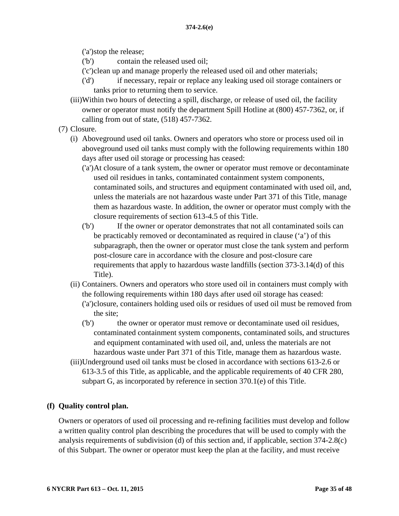('a')stop the release;

- ('b') contain the released used oil;
- ('c')clean up and manage properly the released used oil and other materials;
- ('d') if necessary, repair or replace any leaking used oil storage containers or tanks prior to returning them to service.
- (iii)Within two hours of detecting a spill, discharge, or release of used oil, the facility owner or operator must notify the department Spill Hotline at (800) 457-7362, or, if calling from out of state, (518) 457-7362.
- (7) Closure.
	- (i) Aboveground used oil tanks. Owners and operators who store or process used oil in aboveground used oil tanks must comply with the following requirements within 180 days after used oil storage or processing has ceased:
		- ('a')At closure of a tank system, the owner or operator must remove or decontaminate used oil residues in tanks, contaminated containment system components, contaminated soils, and structures and equipment contaminated with used oil, and, unless the materials are not hazardous waste under Part 371 of this Title, manage them as hazardous waste. In addition, the owner or operator must comply with the closure requirements of section 613-4.5 of this Title.
		- ('b') If the owner or operator demonstrates that not all contaminated soils can be practicably removed or decontaminated as required in clause ('a') of this subparagraph, then the owner or operator must close the tank system and perform post-closure care in accordance with the closure and post-closure care requirements that apply to hazardous waste landfills (section 373-3.14(d) of this Title).
	- (ii) Containers. Owners and operators who store used oil in containers must comply with the following requirements within 180 days after used oil storage has ceased:
		- ('a')closure, containers holding used oils or residues of used oil must be removed from the site;
		- ('b') the owner or operator must remove or decontaminate used oil residues, contaminated containment system components, contaminated soils, and structures and equipment contaminated with used oil, and, unless the materials are not hazardous waste under Part 371 of this Title, manage them as hazardous waste.
	- (iii)Underground used oil tanks must be closed in accordance with sections 613-2.6 or 613-3.5 of this Title, as applicable, and the applicable requirements of 40 CFR 280, subpart G, as incorporated by reference in section 370.1(e) of this Title.

# **(f) Quality control plan.**

Owners or operators of used oil processing and re-refining facilities must develop and follow a written quality control plan describing the procedures that will be used to comply with the analysis requirements of subdivision (d) of this section and, if applicable, section 374-2.8(c) of this Subpart. The owner or operator must keep the plan at the facility, and must receive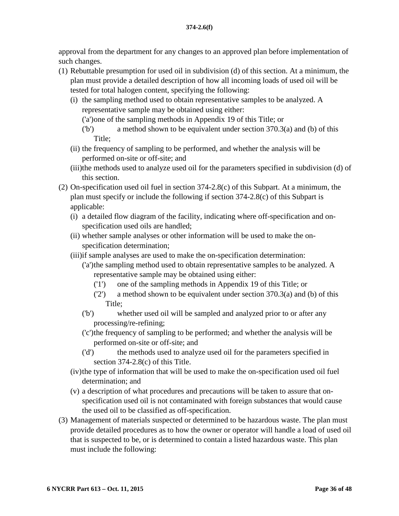approval from the department for any changes to an approved plan before implementation of such changes.

- (1) Rebuttable presumption for used oil in subdivision (d) of this section. At a minimum, the plan must provide a detailed description of how all incoming loads of used oil will be tested for total halogen content, specifying the following:
	- (i) the sampling method used to obtain representative samples to be analyzed. A representative sample may be obtained using either:

('a')one of the sampling methods in Appendix 19 of this Title; or

- ('b') a method shown to be equivalent under section 370.3(a) and (b) of this Title;
- (ii) the frequency of sampling to be performed, and whether the analysis will be performed on-site or off-site; and
- (iii)the methods used to analyze used oil for the parameters specified in subdivision (d) of this section.
- (2) On-specification used oil fuel in section  $374-2.8(c)$  of this Subpart. At a minimum, the plan must specify or include the following if section 374-2.8(c) of this Subpart is applicable:
	- (i) a detailed flow diagram of the facility, indicating where off-specification and onspecification used oils are handled;
	- (ii) whether sample analyses or other information will be used to make the onspecification determination;
	- (iii)if sample analyses are used to make the on-specification determination:
		- ('a')the sampling method used to obtain representative samples to be analyzed. A representative sample may be obtained using either:
			- ('1') one of the sampling methods in Appendix 19 of this Title; or
			- $(2')$  a method shown to be equivalent under section 370.3(a) and (b) of this Title;
		- ('b') whether used oil will be sampled and analyzed prior to or after any processing/re-refining;
		- ('c')the frequency of sampling to be performed; and whether the analysis will be performed on-site or off-site; and
		- ('d') the methods used to analyze used oil for the parameters specified in section 374-2.8(c) of this Title.
	- (iv)the type of information that will be used to make the on-specification used oil fuel determination; and
	- (v) a description of what procedures and precautions will be taken to assure that onspecification used oil is not contaminated with foreign substances that would cause the used oil to be classified as off-specification.
- (3) Management of materials suspected or determined to be hazardous waste. The plan must provide detailed procedures as to how the owner or operator will handle a load of used oil that is suspected to be, or is determined to contain a listed hazardous waste. This plan must include the following: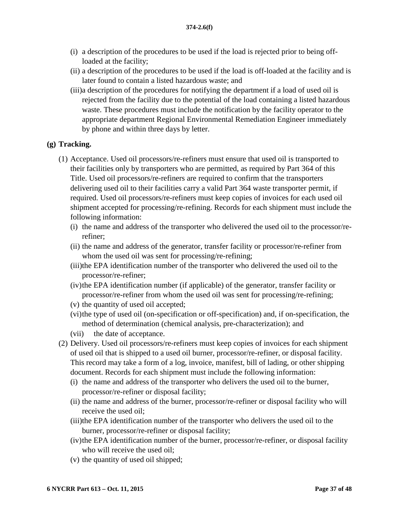- (i) a description of the procedures to be used if the load is rejected prior to being offloaded at the facility;
- (ii) a description of the procedures to be used if the load is off-loaded at the facility and is later found to contain a listed hazardous waste; and
- (iii)a description of the procedures for notifying the department if a load of used oil is rejected from the facility due to the potential of the load containing a listed hazardous waste. These procedures must include the notification by the facility operator to the appropriate department Regional Environmental Remediation Engineer immediately by phone and within three days by letter.

### **(g) Tracking.**

- (1) Acceptance. Used oil processors/re-refiners must ensure that used oil is transported to their facilities only by transporters who are permitted, as required by Part 364 of this Title. Used oil processors/re-refiners are required to confirm that the transporters delivering used oil to their facilities carry a valid Part 364 waste transporter permit, if required. Used oil processors/re-refiners must keep copies of invoices for each used oil shipment accepted for processing/re-refining. Records for each shipment must include the following information:
	- (i) the name and address of the transporter who delivered the used oil to the processor/rerefiner;
	- (ii) the name and address of the generator, transfer facility or processor/re-refiner from whom the used oil was sent for processing/re-refining;
	- (iii)the EPA identification number of the transporter who delivered the used oil to the processor/re-refiner;
	- (iv)the EPA identification number (if applicable) of the generator, transfer facility or processor/re-refiner from whom the used oil was sent for processing/re-refining;
	- (v) the quantity of used oil accepted;
	- (vi)the type of used oil (on-specification or off-specification) and, if on-specification, the method of determination (chemical analysis, pre-characterization); and
	- (vii) the date of acceptance.
- (2) Delivery. Used oil processors/re-refiners must keep copies of invoices for each shipment of used oil that is shipped to a used oil burner, processor/re-refiner, or disposal facility. This record may take a form of a log, invoice, manifest, bill of lading, or other shipping document. Records for each shipment must include the following information:
	- (i) the name and address of the transporter who delivers the used oil to the burner, processor/re-refiner or disposal facility;
	- (ii) the name and address of the burner, processor/re-refiner or disposal facility who will receive the used oil;
	- (iii)the EPA identification number of the transporter who delivers the used oil to the burner, processor/re-refiner or disposal facility;
	- (iv)the EPA identification number of the burner, processor/re-refiner, or disposal facility who will receive the used oil;
	- (v) the quantity of used oil shipped;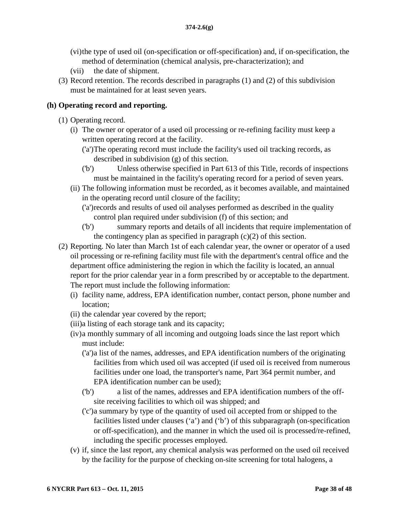- (vi)the type of used oil (on-specification or off-specification) and, if on-specification, the method of determination (chemical analysis, pre-characterization); and
- (vii) the date of shipment.
- (3) Record retention. The records described in paragraphs (1) and (2) of this subdivision must be maintained for at least seven years.

### **(h) Operating record and reporting.**

- (1) Operating record.
	- (i) The owner or operator of a used oil processing or re-refining facility must keep a written operating record at the facility.
		- ('a')The operating record must include the facility's used oil tracking records, as described in subdivision (g) of this section.
		- ('b') Unless otherwise specified in Part 613 of this Title, records of inspections must be maintained in the facility's operating record for a period of seven years.
	- (ii) The following information must be recorded, as it becomes available, and maintained in the operating record until closure of the facility;
		- ('a')records and results of used oil analyses performed as described in the quality control plan required under subdivision (f) of this section; and
		- ('b') summary reports and details of all incidents that require implementation of the contingency plan as specified in paragraph  $(c)(2)$  of this section.
- (2) Reporting. No later than March 1st of each calendar year, the owner or operator of a used oil processing or re-refining facility must file with the department's central office and the department office administering the region in which the facility is located, an annual report for the prior calendar year in a form prescribed by or acceptable to the department. The report must include the following information:
	- (i) facility name, address, EPA identification number, contact person, phone number and location;
	- (ii) the calendar year covered by the report;
	- (iii)a listing of each storage tank and its capacity;
	- (iv)a monthly summary of all incoming and outgoing loads since the last report which must include:
		- ('a')a list of the names, addresses, and EPA identification numbers of the originating facilities from which used oil was accepted (if used oil is received from numerous facilities under one load, the transporter's name, Part 364 permit number, and EPA identification number can be used);
		- ('b') a list of the names, addresses and EPA identification numbers of the offsite receiving facilities to which oil was shipped; and
		- ('c')a summary by type of the quantity of used oil accepted from or shipped to the facilities listed under clauses ('a') and ('b') of this subparagraph (on-specification or off-specification), and the manner in which the used oil is processed/re-refined, including the specific processes employed.
	- (v) if, since the last report, any chemical analysis was performed on the used oil received by the facility for the purpose of checking on-site screening for total halogens, a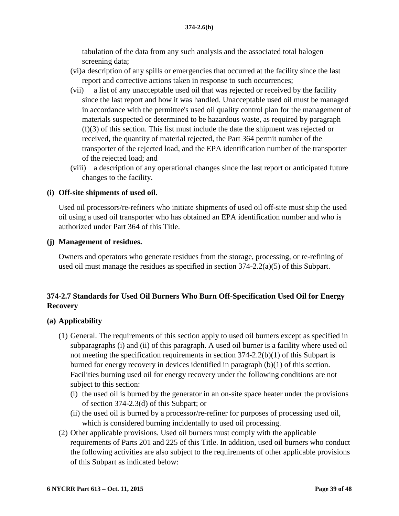tabulation of the data from any such analysis and the associated total halogen screening data;

- (vi)a description of any spills or emergencies that occurred at the facility since the last report and corrective actions taken in response to such occurrences;
- (vii) a list of any unacceptable used oil that was rejected or received by the facility since the last report and how it was handled. Unacceptable used oil must be managed in accordance with the permittee's used oil quality control plan for the management of materials suspected or determined to be hazardous waste, as required by paragraph (f)(3) of this section. This list must include the date the shipment was rejected or received, the quantity of material rejected, the Part 364 permit number of the transporter of the rejected load, and the EPA identification number of the transporter of the rejected load; and
- (viii) a description of any operational changes since the last report or anticipated future changes to the facility.

#### **(i) Off-site shipments of used oil.**

Used oil processors/re-refiners who initiate shipments of used oil off-site must ship the used oil using a used oil transporter who has obtained an EPA identification number and who is authorized under Part 364 of this Title.

#### **(j) Management of residues.**

Owners and operators who generate residues from the storage, processing, or re-refining of used oil must manage the residues as specified in section  $374-2.2(a)(5)$  of this Subpart.

## <span id="page-38-0"></span>**374-2.7 Standards for Used Oil Burners Who Burn Off-Specification Used Oil for Energy Recovery**

#### **(a) Applicability**

- (1) General. The requirements of this section apply to used oil burners except as specified in subparagraphs (i) and (ii) of this paragraph. A used oil burner is a facility where used oil not meeting the specification requirements in section  $374-2.2(b)(1)$  of this Subpart is burned for energy recovery in devices identified in paragraph (b)(1) of this section. Facilities burning used oil for energy recovery under the following conditions are not subject to this section:
	- (i) the used oil is burned by the generator in an on-site space heater under the provisions of section 374-2.3(d) of this Subpart; or
	- (ii) the used oil is burned by a processor/re-refiner for purposes of processing used oil, which is considered burning incidentally to used oil processing.
- (2) Other applicable provisions. Used oil burners must comply with the applicable requirements of Parts 201 and 225 of this Title. In addition, used oil burners who conduct the following activities are also subject to the requirements of other applicable provisions of this Subpart as indicated below: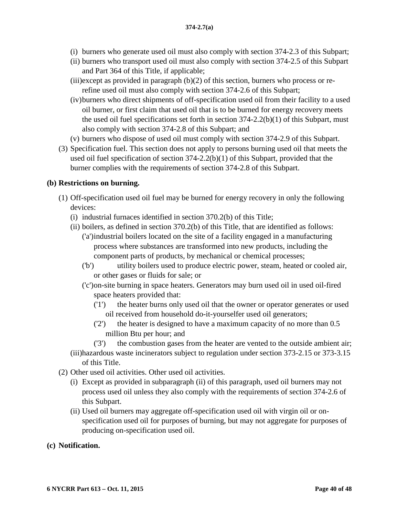- (i) burners who generate used oil must also comply with section 374-2.3 of this Subpart;
- (ii) burners who transport used oil must also comply with section 374-2.5 of this Subpart and Part 364 of this Title, if applicable;
- $(iii)$ except as provided in paragraph  $(b)(2)$  of this section, burners who process or rerefine used oil must also comply with section 374-2.6 of this Subpart;
- (iv)burners who direct shipments of off-specification used oil from their facility to a used oil burner, or first claim that used oil that is to be burned for energy recovery meets the used oil fuel specifications set forth in section 374-2.2(b)(1) of this Subpart, must also comply with section 374-2.8 of this Subpart; and
- (v) burners who dispose of used oil must comply with section 374-2.9 of this Subpart.
- (3) Specification fuel. This section does not apply to persons burning used oil that meets the used oil fuel specification of section  $374-2.2(b)(1)$  of this Subpart, provided that the burner complies with the requirements of section 374-2.8 of this Subpart.

#### **(b) Restrictions on burning.**

- (1) Off-specification used oil fuel may be burned for energy recovery in only the following devices:
	- (i) industrial furnaces identified in section 370.2(b) of this Title;
	- (ii) boilers, as defined in section 370.2(b) of this Title, that are identified as follows: ('a')industrial boilers located on the site of a facility engaged in a manufacturing process where substances are transformed into new products, including the component parts of products, by mechanical or chemical processes;
		- ('b') utility boilers used to produce electric power, steam, heated or cooled air, or other gases or fluids for sale; or
		- ('c')on-site burning in space heaters. Generators may burn used oil in used oil-fired space heaters provided that:
			- ('1') the heater burns only used oil that the owner or operator generates or used oil received from household do-it-yourselfer used oil generators;
			- ('2') the heater is designed to have a maximum capacity of no more than 0.5 million Btu per hour; and
			- ('3') the combustion gases from the heater are vented to the outside ambient air;
	- (iii)hazardous waste incinerators subject to regulation under section 373-2.15 or 373-3.15 of this Title.
- (2) Other used oil activities. Other used oil activities.
	- (i) Except as provided in subparagraph (ii) of this paragraph, used oil burners may not process used oil unless they also comply with the requirements of section 374-2.6 of this Subpart.
	- (ii) Used oil burners may aggregate off-specification used oil with virgin oil or onspecification used oil for purposes of burning, but may not aggregate for purposes of producing on-specification used oil.

#### **(c) Notification.**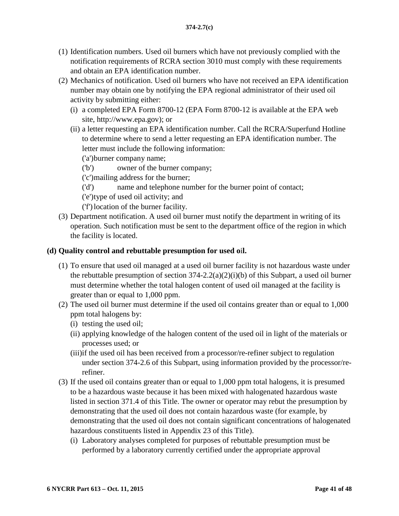- (1) Identification numbers. Used oil burners which have not previously complied with the notification requirements of RCRA section 3010 must comply with these requirements and obtain an EPA identification number.
- (2) Mechanics of notification. Used oil burners who have not received an EPA identification number may obtain one by notifying the EPA regional administrator of their used oil activity by submitting either:
	- (i) a completed EPA Form 8700-12 (EPA Form 8700-12 is available at the EPA web site, http://www.epa.gov); or
	- (ii) a letter requesting an EPA identification number. Call the RCRA/Superfund Hotline to determine where to send a letter requesting an EPA identification number. The letter must include the following information:

('a')burner company name;

- ('b') owner of the burner company;
- ('c')mailing address for the burner;
- ('d') name and telephone number for the burner point of contact;
- ('e')type of used oil activity; and
- ('f')location of the burner facility.
- (3) Department notification. A used oil burner must notify the department in writing of its operation. Such notification must be sent to the department office of the region in which the facility is located.

### **(d) Quality control and rebuttable presumption for used o**i**l.**

- (1) To ensure that used oil managed at a used oil burner facility is not hazardous waste under the rebuttable presumption of section  $374-2.2(a)(2)(i)(b)$  of this Subpart, a used oil burner must determine whether the total halogen content of used oil managed at the facility is greater than or equal to 1,000 ppm.
- (2) The used oil burner must determine if the used oil contains greater than or equal to 1,000 ppm total halogens by:
	- (i) testing the used oil;
	- (ii) applying knowledge of the halogen content of the used oil in light of the materials or processes used; or
	- (iii)if the used oil has been received from a processor/re-refiner subject to regulation under section 374-2.6 of this Subpart, using information provided by the processor/rerefiner.
- (3) If the used oil contains greater than or equal to 1,000 ppm total halogens, it is presumed to be a hazardous waste because it has been mixed with halogenated hazardous waste listed in section 371.4 of this Title. The owner or operator may rebut the presumption by demonstrating that the used oil does not contain hazardous waste (for example, by demonstrating that the used oil does not contain significant concentrations of halogenated hazardous constituents listed in Appendix 23 of this Title).
	- (i) Laboratory analyses completed for purposes of rebuttable presumption must be performed by a laboratory currently certified under the appropriate approval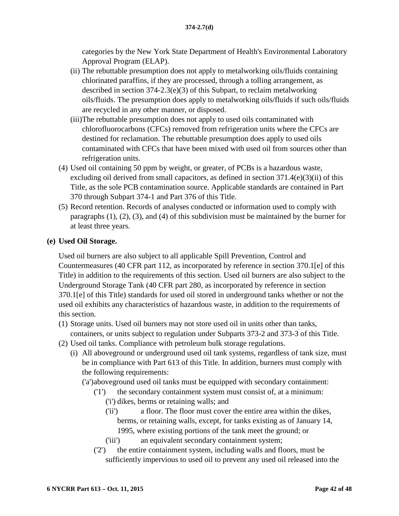categories by the New York State Department of Health's Environmental Laboratory Approval Program (ELAP).

- (ii) The rebuttable presumption does not apply to metalworking oils/fluids containing chlorinated paraffins, if they are processed, through a tolling arrangement, as described in section 374-2.3(e)(3) of this Subpart, to reclaim metalworking oils/fluids. The presumption does apply to metalworking oils/fluids if such oils/fluids are recycled in any other manner, or disposed.
- (iii)The rebuttable presumption does not apply to used oils contaminated with chlorofluorocarbons (CFCs) removed from refrigeration units where the CFCs are destined for reclamation. The rebuttable presumption does apply to used oils contaminated with CFCs that have been mixed with used oil from sources other than refrigeration units.
- (4) Used oil containing 50 ppm by weight, or greater, of PCBs is a hazardous waste, excluding oil derived from small capacitors, as defined in section  $371.4(e)(3)(ii)$  of this Title, as the sole PCB contamination source. Applicable standards are contained in Part 370 through Subpart 374-1 and Part 376 of this Title.
- (5) Record retention. Records of analyses conducted or information used to comply with paragraphs  $(1)$ ,  $(2)$ ,  $(3)$ , and  $(4)$  of this subdivision must be maintained by the burner for at least three years.

### **(e) Used Oil Storage.**

Used oil burners are also subject to all applicable Spill Prevention, Control and Countermeasures (40 CFR part 112, as incorporated by reference in section 370.1[e] of this Title) in addition to the requirements of this section. Used oil burners are also subject to the Underground Storage Tank (40 CFR part 280, as incorporated by reference in section 370.1[e] of this Title) standards for used oil stored in underground tanks whether or not the used oil exhibits any characteristics of hazardous waste, in addition to the requirements of this section.

- (1) Storage units. Used oil burners may not store used oil in units other than tanks, containers, or units subject to regulation under Subparts 373-2 and 373-3 of this Title.
- (2) Used oil tanks. Compliance with petroleum bulk storage regulations.
	- (i) All aboveground or underground used oil tank systems, regardless of tank size, must be in compliance with Part 613 of this Title. In addition, burners must comply with the following requirements:
		- ('a')aboveground used oil tanks must be equipped with secondary containment:
			- ('1') the secondary containment system must consist of, at a minimum:
				- ('i') dikes, berms or retaining walls; and
				- ('ii') a floor. The floor must cover the entire area within the dikes, berms, or retaining walls, except, for tanks existing as of January 14, 1995, where existing portions of the tank meet the ground; or
				- ('iii') an equivalent secondary containment system;
			- ('2') the entire containment system, including walls and floors, must be sufficiently impervious to used oil to prevent any used oil released into the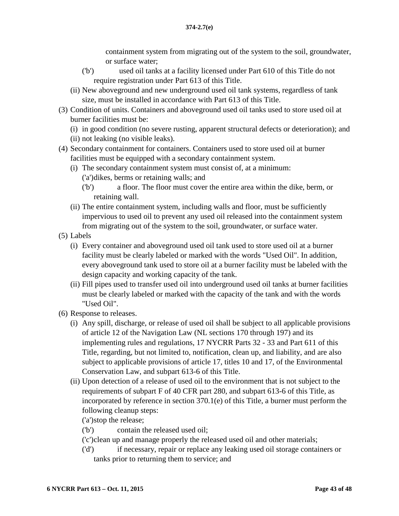containment system from migrating out of the system to the soil, groundwater, or surface water;

- ('b') used oil tanks at a facility licensed under Part 610 of this Title do not require registration under Part 613 of this Title.
- (ii) New aboveground and new underground used oil tank systems, regardless of tank size, must be installed in accordance with Part 613 of this Title.
- (3) Condition of units. Containers and aboveground used oil tanks used to store used oil at burner facilities must be:
	- (i) in good condition (no severe rusting, apparent structural defects or deterioration); and (ii) not leaking (no visible leaks).
- (4) Secondary containment for containers. Containers used to store used oil at burner facilities must be equipped with a secondary containment system.
	- (i) The secondary containment system must consist of, at a minimum:
		- ('a')dikes, berms or retaining walls; and
		- ('b') a floor. The floor must cover the entire area within the dike, berm, or retaining wall.
	- (ii) The entire containment system, including walls and floor, must be sufficiently impervious to used oil to prevent any used oil released into the containment system from migrating out of the system to the soil, groundwater, or surface water.
- (5) Labels
	- (i) Every container and aboveground used oil tank used to store used oil at a burner facility must be clearly labeled or marked with the words "Used Oil". In addition, every aboveground tank used to store oil at a burner facility must be labeled with the design capacity and working capacity of the tank.
	- (ii) Fill pipes used to transfer used oil into underground used oil tanks at burner facilities must be clearly labeled or marked with the capacity of the tank and with the words "Used Oil".
- (6) Response to releases.
	- (i) Any spill, discharge, or release of used oil shall be subject to all applicable provisions of article 12 of the Navigation Law (NL sections 170 through 197) and its implementing rules and regulations, 17 NYCRR Parts 32 - 33 and Part 611 of this Title, regarding, but not limited to, notification, clean up, and liability, and are also subject to applicable provisions of article 17, titles 10 and 17, of the Environmental Conservation Law, and subpart 613-6 of this Title.
	- (ii) Upon detection of a release of used oil to the environment that is not subject to the requirements of subpart F of 40 CFR part 280, and subpart 613-6 of this Title, as incorporated by reference in section 370.1(e) of this Title, a burner must perform the following cleanup steps:

('a')stop the release;

- ('b') contain the released used oil;
- ('c')clean up and manage properly the released used oil and other materials;
- ('d') if necessary, repair or replace any leaking used oil storage containers or tanks prior to returning them to service; and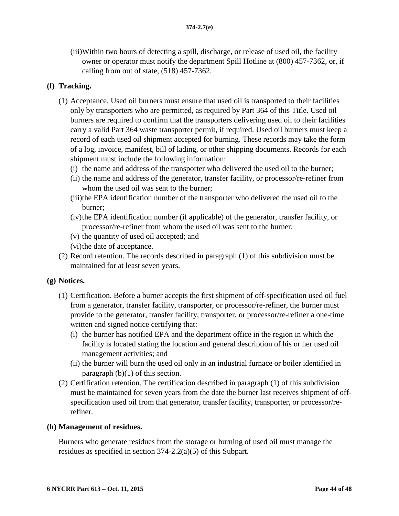(iii)Within two hours of detecting a spill, discharge, or release of used oil, the facility owner or operator must notify the department Spill Hotline at (800) 457-7362, or, if calling from out of state, (518) 457-7362.

# **(f) Tracking.**

- (1) Acceptance. Used oil burners must ensure that used oil is transported to their facilities only by transporters who are permitted, as required by Part 364 of this Title. Used oil burners are required to confirm that the transporters delivering used oil to their facilities carry a valid Part 364 waste transporter permit, if required. Used oil burners must keep a record of each used oil shipment accepted for burning. These records may take the form of a log, invoice, manifest, bill of lading, or other shipping documents. Records for each shipment must include the following information:
	- (i) the name and address of the transporter who delivered the used oil to the burner;
	- (ii) the name and address of the generator, transfer facility, or processor/re-refiner from whom the used oil was sent to the burner;
	- (iii)the EPA identification number of the transporter who delivered the used oil to the burner;
	- (iv)the EPA identification number (if applicable) of the generator, transfer facility, or processor/re-refiner from whom the used oil was sent to the burner;
	- (v) the quantity of used oil accepted; and
	- (vi)the date of acceptance.
- (2) Record retention. The records described in paragraph (1) of this subdivision must be maintained for at least seven years.

## **(g) Notices.**

- (1) Certification. Before a burner accepts the first shipment of off-specification used oil fuel from a generator, transfer facility, transporter, or processor/re-refiner, the burner must provide to the generator, transfer facility, transporter, or processor/re-refiner a one-time written and signed notice certifying that:
	- (i) the burner has notified EPA and the department office in the region in which the facility is located stating the location and general description of his or her used oil management activities; and
	- (ii) the burner will burn the used oil only in an industrial furnace or boiler identified in paragraph  $(b)(1)$  of this section.
- (2) Certification retention. The certification described in paragraph (1) of this subdivision must be maintained for seven years from the date the burner last receives shipment of offspecification used oil from that generator, transfer facility, transporter, or processor/rerefiner.

## **(h) Management of residues.**

Burners who generate residues from the storage or burning of used oil must manage the residues as specified in section 374-2.2(a)(5) of this Subpart.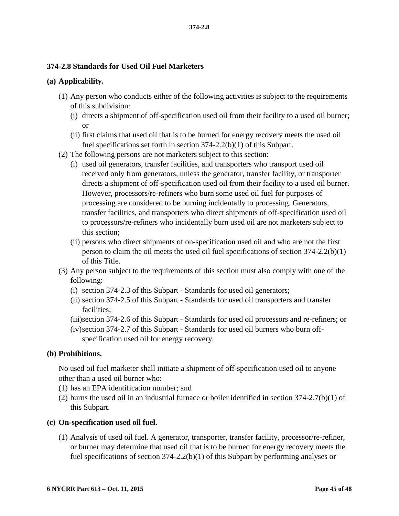#### <span id="page-44-0"></span>**374-2.8 Standards for Used Oil Fuel Marketers**

#### **(a) Applica**b**ility.**

- (1) Any person who conducts either of the following activities is subject to the requirements of this subdivision:
	- (i) directs a shipment of off-specification used oil from their facility to a used oil burner; or
	- (ii) first claims that used oil that is to be burned for energy recovery meets the used oil fuel specifications set forth in section 374-2.2(b)(1) of this Subpart.
- (2) The following persons are not marketers subject to this section:
	- (i) used oil generators, transfer facilities, and transporters who transport used oil received only from generators, unless the generator, transfer facility, or transporter directs a shipment of off-specification used oil from their facility to a used oil burner. However, processors/re-refiners who burn some used oil fuel for purposes of processing are considered to be burning incidentally to processing. Generators, transfer facilities, and transporters who direct shipments of off-specification used oil to processors/re-refiners who incidentally burn used oil are not marketers subject to this section;
	- (ii) persons who direct shipments of on-specification used oil and who are not the first person to claim the oil meets the used oil fuel specifications of section 374-2.2(b)(1) of this Title.
- (3) Any person subject to the requirements of this section must also comply with one of the following:
	- (i) section 374-2.3 of this Subpart Standards for used oil generators;
	- (ii) section 374-2.5 of this Subpart Standards for used oil transporters and transfer facilities;
	- (iii)section 374-2.6 of this Subpart Standards for used oil processors and re-refiners; or
	- (iv)section 374-2.7 of this Subpart Standards for used oil burners who burn offspecification used oil for energy recovery.

#### **(b) Prohibitions.**

No used oil fuel marketer shall initiate a shipment of off-specification used oil to anyone other than a used oil burner who:

- (1) has an EPA identification number; and
- (2) burns the used oil in an industrial furnace or boiler identified in section 374-2.7(b)(1) of this Subpart.

#### **(c) On-specification used oil fuel.**

(1) Analysis of used oil fuel. A generator, transporter, transfer facility, processor/re-refiner, or burner may determine that used oil that is to be burned for energy recovery meets the fuel specifications of section 374-2.2(b)(1) of this Subpart by performing analyses or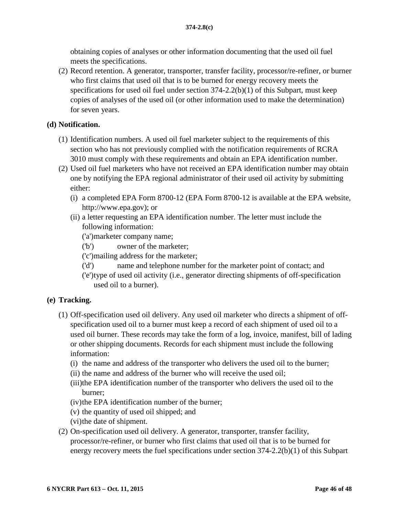obtaining copies of analyses or other information documenting that the used oil fuel meets the specifications.

(2) Record retention. A generator, transporter, transfer facility, processor/re-refiner, or burner who first claims that used oil that is to be burned for energy recovery meets the specifications for used oil fuel under section  $374-2.2(b)(1)$  of this Subpart, must keep copies of analyses of the used oil (or other information used to make the determination) for seven years.

### **(d) Notification.**

- (1) Identification numbers. A used oil fuel marketer subject to the requirements of this section who has not previously complied with the notification requirements of RCRA 3010 must comply with these requirements and obtain an EPA identification number.
- (2) Used oil fuel marketers who have not received an EPA identification number may obtain one by notifying the EPA regional administrator of their used oil activity by submitting either:
	- (i) a completed EPA Form 8700-12 (EPA Form 8700-12 is available at the EPA website, http://www.epa.gov); or
	- (ii) a letter requesting an EPA identification number. The letter must include the following information:

('a')marketer company name;

- ('b') owner of the marketer;
- ('c')mailing address for the marketer;
- ('d') name and telephone number for the marketer point of contact; and
- ('e')type of used oil activity (i.e., generator directing shipments of off-specification used oil to a burner).

## **(e) Tracking.**

- (1) Off-specification used oil delivery. Any used oil marketer who directs a shipment of offspecification used oil to a burner must keep a record of each shipment of used oil to a used oil burner. These records may take the form of a log, invoice, manifest, bill of lading or other shipping documents. Records for each shipment must include the following information:
	- (i) the name and address of the transporter who delivers the used oil to the burner;
	- (ii) the name and address of the burner who will receive the used oil;
	- (iii)the EPA identification number of the transporter who delivers the used oil to the burner;
	- (iv)the EPA identification number of the burner;
	- (v) the quantity of used oil shipped; and
	- (vi)the date of shipment.
- (2) On-specification used oil delivery. A generator, transporter, transfer facility, processor/re-refiner, or burner who first claims that used oil that is to be burned for energy recovery meets the fuel specifications under section 374-2.2(b)(1) of this Subpart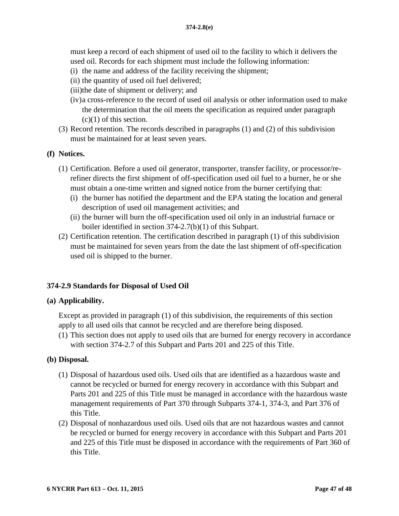must keep a record of each shipment of used oil to the facility to which it delivers the used oil. Records for each shipment must include the following information:

- (i) the name and address of the facility receiving the shipment;
- (ii) the quantity of used oil fuel delivered;
- (iii)the date of shipment or delivery; and
- (iv)a cross-reference to the record of used oil analysis or other information used to make the determination that the oil meets the specification as required under paragraph  $(c)(1)$  of this section.
- (3) Record retention. The records described in paragraphs (1) and (2) of this subdivision must be maintained for at least seven years.

#### **(f) Notices.**

- (1) Certification. Before a used oil generator, transporter, transfer facility, or processor/rerefiner directs the first shipment of off-specification used oil fuel to a burner, he or she must obtain a one-time written and signed notice from the burner certifying that:
	- (i) the burner has notified the department and the EPA stating the location and general description of used oil management activities; and
	- (ii) the burner will burn the off-specification used oil only in an industrial furnace or boiler identified in section 374-2.7(b)(1) of this Subpart.
- (2) Certification retention. The certification described in paragraph (1) of this subdivision must be maintained for seven years from the date the last shipment of off-specification used oil is shipped to the burner.

#### <span id="page-46-0"></span>**374-2.9 Standards for Disposal of Used Oil**

#### **(a) Applicability.**

Except as provided in paragraph (1) of this subdivision, the requirements of this section apply to all used oils that cannot be recycled and are therefore being disposed.

(1) This section does not apply to used oils that are burned for energy recovery in accordance with section 374-2.7 of this Subpart and Parts 201 and 225 of this Title.

#### **(b) Disposal.**

- (1) Disposal of hazardous used oils. Used oils that are identified as a hazardous waste and cannot be recycled or burned for energy recovery in accordance with this Subpart and Parts 201 and 225 of this Title must be managed in accordance with the hazardous waste management requirements of Part 370 through Subparts 374-1, 374-3, and Part 376 of this Title.
- (2) Disposal of nonhazardous used oils. Used oils that are not hazardous wastes and cannot be recycled or burned for energy recovery in accordance with this Subpart and Parts 201 and 225 of this Title must be disposed in accordance with the requirements of Part 360 of this Title.